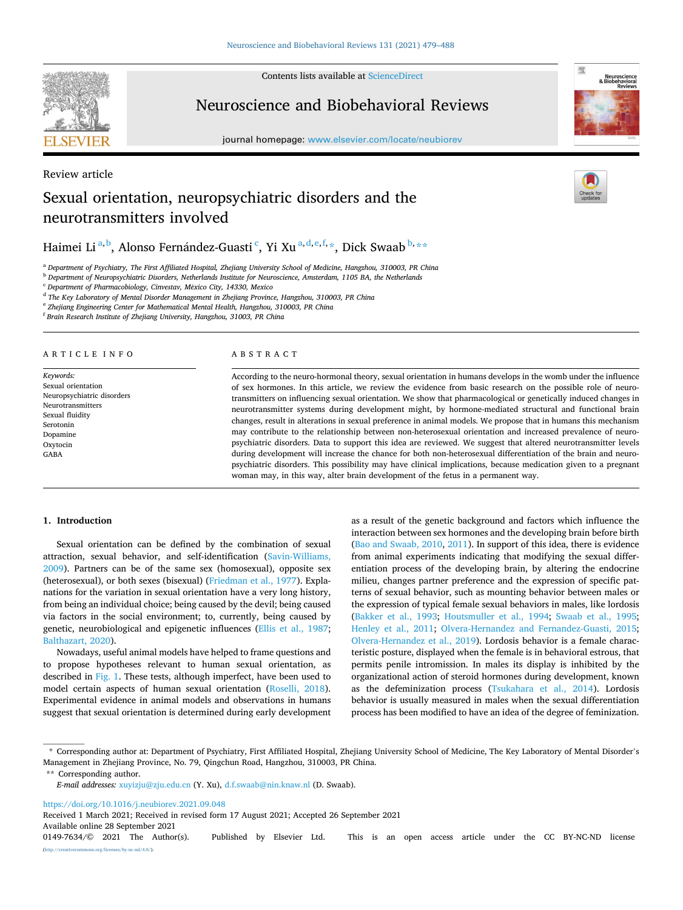Contents lists available at [ScienceDirect](www.sciencedirect.com/science/journal/01497634)

# Neuroscience and Biobehavioral Reviews

journal homepage: [www.elsevier.com/locate/neubiorev](https://www.elsevier.com/locate/neubiorev)



# Review article Sexual orientation, neuropsychiatric disorders and the neurotransmitters involved



# Haimei Li $^{\mathrm{a,b}}$ , Alonso Fernández-Guasti  $^{\mathrm{c}}$ , Yi Xu $^{\mathrm{a,d,e,f,*}}$ , Dick Swaab $^{\mathrm{b,**}}$

<sup>a</sup> *Department of Psychiatry, The First Affiliated Hospital, Zhejiang University School of Medicine, Hangzhou, 310003, PR China* 

<sup>b</sup> *Department of Neuropsychiatric Disorders, Netherlands Institute for Neuroscience, Amsterdam, 1105 BA, the Netherlands* 

<sup>c</sup> *Department of Pharmacobiology, Cinvestav, M*´*exico City, 14330, Mexico* 

<sup>d</sup> *The Key Laboratory of Mental Disorder Management in Zhejiang Province, Hangzhou, 310003, PR China* 

<sup>e</sup> *Zhejiang Engineering Center for Mathematical Mental Health, Hangzhou, 310003, PR China* 

<sup>f</sup> *Brain Research Institute of Zhejiang University, Hangzhou, 31003, PR China* 

# ARTICLE INFO

**SEVIER** 

*Keywords:*  Sexual orientation Neuropsychiatric disorders Neurotransmitters Sexual fluidity Serotonin Dopamine Oxytocin GABA

# ABSTRACT

According to the neuro-hormonal theory, sexual orientation in humans develops in the womb under the influence of sex hormones. In this article, we review the evidence from basic research on the possible role of neurotransmitters on influencing sexual orientation. We show that pharmacological or genetically induced changes in neurotransmitter systems during development might, by hormone-mediated structural and functional brain changes, result in alterations in sexual preference in animal models. We propose that in humans this mechanism may contribute to the relationship between non-heterosexual orientation and increased prevalence of neuropsychiatric disorders. Data to support this idea are reviewed. We suggest that altered neurotransmitter levels during development will increase the chance for both non-heterosexual differentiation of the brain and neuropsychiatric disorders. This possibility may have clinical implications, because medication given to a pregnant woman may, in this way, alter brain development of the fetus in a permanent way.

# **1. Introduction**

Sexual orientation can be defined by the combination of sexual attraction, sexual behavior, and self-identification ([Savin-Williams,](#page-8-0)  [2009\)](#page-8-0). Partners can be of the same sex (homosexual), opposite sex (heterosexual), or both sexes (bisexual) [\(Friedman et al., 1977\)](#page-7-0). Explanations for the variation in sexual orientation have a very long history, from being an individual choice; being caused by the devil; being caused via factors in the social environment; to, currently, being caused by genetic, neurobiological and epigenetic influences ([Ellis et al., 1987](#page-7-0); [Balthazart, 2020](#page-6-0)).

Nowadays, useful animal models have helped to frame questions and to propose hypotheses relevant to human sexual orientation, as described in [Fig. 1.](#page-1-0) These tests, although imperfect, have been used to model certain aspects of human sexual orientation [\(Roselli, 2018](#page-8-0)). Experimental evidence in animal models and observations in humans suggest that sexual orientation is determined during early development as a result of the genetic background and factors which influence the interaction between sex hormones and the developing brain before birth ([Bao and Swaab, 2010, 2011](#page-6-0)). In support of this idea, there is evidence from animal experiments indicating that modifying the sexual differentiation process of the developing brain, by altering the endocrine milieu, changes partner preference and the expression of specific patterns of sexual behavior, such as mounting behavior between males or the expression of typical female sexual behaviors in males, like lordosis ([Bakker et al., 1993](#page-6-0); [Houtsmuller et al., 1994;](#page-8-0) [Swaab et al., 1995](#page-9-0); [Henley et al., 2011;](#page-7-0) [Olvera-Hernandez and Fernandez-Guasti, 2015](#page-8-0); [Olvera-Hernandez et al., 2019](#page-8-0)). Lordosis behavior is a female characteristic posture, displayed when the female is in behavioral estrous, that permits penile intromission. In males its display is inhibited by the organizational action of steroid hormones during development, known as the defeminization process ([Tsukahara et al., 2014\)](#page-9-0). Lordosis behavior is usually measured in males when the sexual differentiation process has been modified to have an idea of the degree of feminization.

\*\* Corresponding author.

<https://doi.org/10.1016/j.neubiorev.2021.09.048>

Available online 28 September 2021 Received 1 March 2021; Received in revised form 17 August 2021; Accepted 26 September 2021

<sup>\*</sup> Corresponding author at: Department of Psychiatry, First Affiliated Hospital, Zhejiang University School of Medicine, The Key Laboratory of Mental Disorder's Management in Zhejiang Province, No. 79, Qingchun Road, Hangzhou, 310003, PR China.

*E-mail addresses:* [xuyizju@zju.edu.cn](mailto:xuyizju@zju.edu.cn) (Y. Xu), [d.f.swaab@nin.knaw.nl](mailto:d.f.swaab@nin.knaw.nl) (D. Swaab).

<sup>0149-7634/© 2021</sup> The Author(s). Published by Elsevier Ltd. This is an open access article under the CC BY-NC-ND license [\(http://creativecommons.org/licenses/by-nc-nd/4.0/\)](http://creativecommons.org/licenses/by-nc-nd/4.0/).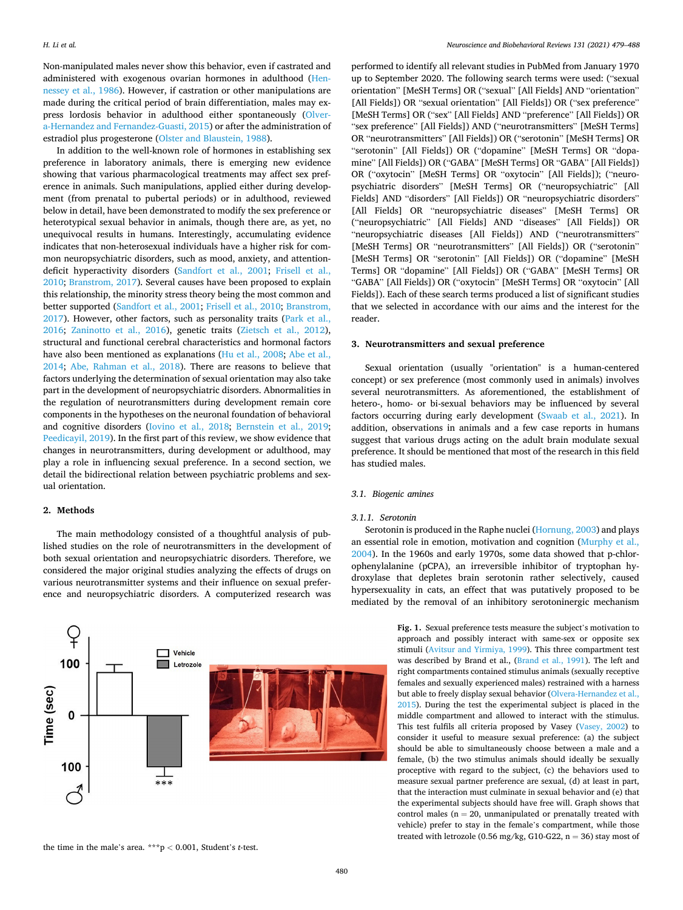<span id="page-1-0"></span>Non-manipulated males never show this behavior, even if castrated and administered with exogenous ovarian hormones in adulthood ([Hen](#page-7-0)[nessey et al., 1986\)](#page-7-0). However, if castration or other manipulations are made during the critical period of brain differentiation, males may express lordosis behavior in adulthood either spontaneously ([Olver](#page-8-0)[a-Hernandez and Fernandez-Guasti, 2015\)](#page-8-0) or after the administration of estradiol plus progesterone ([Olster and Blaustein, 1988\)](#page-8-0).

In addition to the well-known role of hormones in establishing sex preference in laboratory animals, there is emerging new evidence showing that various pharmacological treatments may affect sex preference in animals. Such manipulations, applied either during development (from prenatal to pubertal periods) or in adulthood, reviewed below in detail, have been demonstrated to modify the sex preference or heterotypical sexual behavior in animals, though there are, as yet, no unequivocal results in humans. Interestingly, accumulating evidence indicates that non-heterosexual individuals have a higher risk for common neuropsychiatric disorders, such as mood, anxiety, and attentiondeficit hyperactivity disorders [\(Sandfort et al., 2001;](#page-8-0) [Frisell et al.,](#page-7-0)  [2010; Branstrom, 2017](#page-7-0)). Several causes have been proposed to explain this relationship, the minority stress theory being the most common and better supported ([Sandfort et al., 2001](#page-8-0); [Frisell et al., 2010;](#page-7-0) [Branstrom,](#page-7-0)  [2017\)](#page-7-0). However, other factors, such as personality traits ([Park et al.,](#page-8-0)  [2016;](#page-8-0) [Zaninotto et al., 2016\)](#page-9-0), genetic traits ([Zietsch et al., 2012](#page-9-0)), structural and functional cerebral characteristics and hormonal factors have also been mentioned as explanations [\(Hu et al., 2008](#page-8-0); [Abe et al.,](#page-6-0)  [2014;](#page-6-0) [Abe, Rahman et al., 2018](#page-6-0)). There are reasons to believe that factors underlying the determination of sexual orientation may also take part in the development of neuropsychiatric disorders. Abnormalities in the regulation of neurotransmitters during development remain core components in the hypotheses on the neuronal foundation of behavioral and cognitive disorders [\(Iovino et al., 2018;](#page-8-0) [Bernstein et al., 2019](#page-6-0); [Peedicayil, 2019\)](#page-8-0). In the first part of this review, we show evidence that changes in neurotransmitters, during development or adulthood, may play a role in influencing sexual preference. In a second section, we detail the bidirectional relation between psychiatric problems and sexual orientation.

# **2. Methods**

The main methodology consisted of a thoughtful analysis of published studies on the role of neurotransmitters in the development of both sexual orientation and neuropsychiatric disorders. Therefore, we considered the major original studies analyzing the effects of drugs on various neurotransmitter systems and their influence on sexual preference and neuropsychiatric disorders. A computerized research was



performed to identify all relevant studies in PubMed from January 1970 up to September 2020. The following search terms were used: ("sexual orientation" [MeSH Terms] OR ("sexual" [All Fields] AND "orientation" [All Fields]) OR "sexual orientation" [All Fields]) OR ("sex preference" [MeSH Terms] OR ("sex" [All Fields] AND "preference" [All Fields]) OR "sex preference" [All Fields]) AND ("neurotransmitters" [MeSH Terms] OR "neurotransmitters" [All Fields]) OR ("serotonin" [MeSH Terms] OR "serotonin" [All Fields]) OR ("dopamine" [MeSH Terms] OR "dopamine" [All Fields]) OR ("GABA" [MeSH Terms] OR "GABA" [All Fields]) OR ("oxytocin" [MeSH Terms] OR "oxytocin" [All Fields]); ("neuropsychiatric disorders" [MeSH Terms] OR ("neuropsychiatric" [All Fields] AND "disorders" [All Fields]) OR "neuropsychiatric disorders" [All Fields] OR "neuropsychiatric diseases" [MeSH Terms] OR ("neuropsychiatric" [All Fields] AND "diseases" [All Fields]) OR "neuropsychiatric diseases [All Fields]) AND ("neurotransmitters" [MeSH Terms] OR "neurotransmitters" [All Fields]) OR ("serotonin" [MeSH Terms] OR "serotonin" [All Fields]) OR ("dopamine" [MeSH Terms] OR "dopamine" [All Fields]) OR ("GABA" [MeSH Terms] OR "GABA" [All Fields]) OR ("oxytocin" [MeSH Terms] OR "oxytocin" [All Fields]). Each of these search terms produced a list of significant studies that we selected in accordance with our aims and the interest for the reader.

#### **3. Neurotransmitters and sexual preference**

Sexual orientation (usually "orientation" is a human-centered concept) or sex preference (most commonly used in animals) involves several neurotransmitters. As aforementioned, the establishment of hetero-, homo- or bi-sexual behaviors may be influenced by several factors occurring during early development [\(Swaab et al., 2021\)](#page-9-0). In addition, observations in animals and a few case reports in humans suggest that various drugs acting on the adult brain modulate sexual preference. It should be mentioned that most of the research in this field has studied males.

## *3.1. Biogenic amines*

#### *3.1.1. Serotonin*

Serotonin is produced in the Raphe nuclei [\(Hornung, 2003](#page-8-0)) and plays an essential role in emotion, motivation and cognition ([Murphy et al.,](#page-8-0)  [2004\)](#page-8-0). In the 1960s and early 1970s, some data showed that p-chlorophenylalanine (pCPA), an irreversible inhibitor of tryptophan hydroxylase that depletes brain serotonin rather selectively, caused hypersexuality in cats, an effect that was putatively proposed to be mediated by the removal of an inhibitory serotoninergic mechanism

> **Fig. 1.** Sexual preference tests measure the subject's motivation to approach and possibly interact with same-sex or opposite sex stimuli ([Avitsur and Yirmiya, 1999](#page-6-0)). This three compartment test was described by Brand et al., [\(Brand et al., 1991](#page-7-0)). The left and right compartments contained stimulus animals (sexually receptive females and sexually experienced males) restrained with a harness but able to freely display sexual behavior ([Olvera-Hernandez et al.,](#page-8-0)  [2015\)](#page-8-0). During the test the experimental subject is placed in the middle compartment and allowed to interact with the stimulus. This test fulfils all criteria proposed by Vasey [\(Vasey, 2002](#page-9-0)) to consider it useful to measure sexual preference: (a) the subject should be able to simultaneously choose between a male and a female, (b) the two stimulus animals should ideally be sexually proceptive with regard to the subject, (c) the behaviors used to measure sexual partner preference are sexual, (d) at least in part, that the interaction must culminate in sexual behavior and (e) that the experimental subjects should have free will. Graph shows that control males ( $n = 20$ , unmanipulated or prenatally treated with vehicle) prefer to stay in the female's compartment, while those treated with letrozole (0.56 mg/kg, G10-G22,  $n = 36$ ) stay most of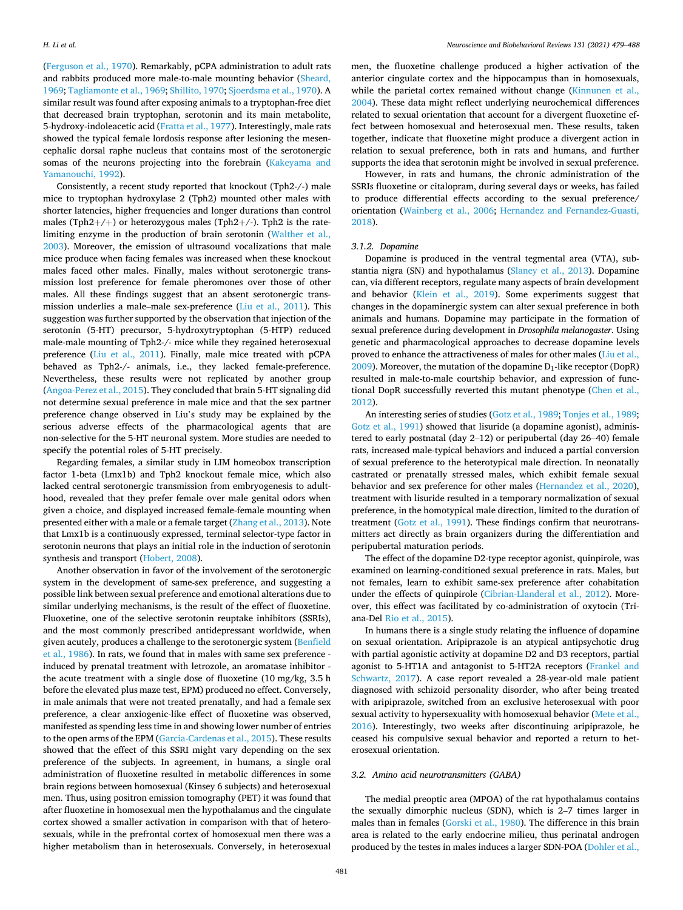([Ferguson et al., 1970](#page-7-0)). Remarkably, pCPA administration to adult rats and rabbits produced more male-to-male mounting behavior [\(Sheard,](#page-8-0)  [1969;](#page-8-0) [Tagliamonte et al., 1969](#page-9-0); [Shillito, 1970](#page-9-0); [Sjoerdsma et al., 1970](#page-9-0)). A similar result was found after exposing animals to a tryptophan-free diet that decreased brain tryptophan, serotonin and its main metabolite, 5-hydroxy-indoleacetic acid ([Fratta et al., 1977](#page-7-0)). Interestingly, male rats showed the typical female lordosis response after lesioning the mesencephalic dorsal raphe nucleus that contains most of the serotonergic somas of the neurons projecting into the forebrain [\(Kakeyama and](#page-8-0)  [Yamanouchi, 1992](#page-8-0)).

Consistently, a recent study reported that knockout (Tph2-/-) male mice to tryptophan hydroxylase 2 (Tph2) mounted other males with shorter latencies, higher frequencies and longer durations than control males (Tph2+/+) or heterozygous males (Tph2+/-). Tph2 is the ratelimiting enzyme in the production of brain serotonin ([Walther et al.,](#page-9-0)  [2003\)](#page-9-0). Moreover, the emission of ultrasound vocalizations that male mice produce when facing females was increased when these knockout males faced other males. Finally, males without serotonergic transmission lost preference for female pheromones over those of other males. All these findings suggest that an absent serotonergic transmission underlies a male–male sex-preference [\(Liu et al., 2011](#page-8-0)). This suggestion was further supported by the observation that injection of the serotonin (5-HT) precursor, 5-hydroxytryptophan (5-HTP) reduced male-male mounting of Tph2-/- mice while they regained heterosexual preference ([Liu et al., 2011\)](#page-8-0). Finally, male mice treated with pCPA behaved as Tph2-/- animals, i.e., they lacked female-preference. Nevertheless, these results were not replicated by another group ([Angoa-Perez et al., 2015](#page-6-0)). They concluded that brain 5-HT signaling did not determine sexual preference in male mice and that the sex partner preference change observed in Liu's study may be explained by the serious adverse effects of the pharmacological agents that are non-selective for the 5-HT neuronal system. More studies are needed to specify the potential roles of 5-HT precisely.

Regarding females, a similar study in LIM homeobox transcription factor 1-beta (Lmx1b) and Tph2 knockout female mice, which also lacked central serotonergic transmission from embryogenesis to adulthood, revealed that they prefer female over male genital odors when given a choice, and displayed increased female-female mounting when presented either with a male or a female target ([Zhang et al., 2013](#page-9-0)). Note that Lmx1b is a continuously expressed, terminal selector-type factor in serotonin neurons that plays an initial role in the induction of serotonin synthesis and transport ([Hobert, 2008\)](#page-7-0).

Another observation in favor of the involvement of the serotonergic system in the development of same-sex preference, and suggesting a possible link between sexual preference and emotional alterations due to similar underlying mechanisms, is the result of the effect of fluoxetine. Fluoxetine, one of the selective serotonin reuptake inhibitors (SSRIs), and the most commonly prescribed antidepressant worldwide, when given acutely, produces a challenge to the serotonergic system (Benfield [et al., 1986\)](#page-6-0). In rats, we found that in males with same sex preference induced by prenatal treatment with letrozole, an aromatase inhibitor the acute treatment with a single dose of fluoxetine (10 mg/kg, 3.5 h before the elevated plus maze test, EPM) produced no effect. Conversely, in male animals that were not treated prenatally, and had a female sex preference, a clear anxiogenic-like effect of fluoxetine was observed, manifested as spending less time in and showing lower number of entries to the open arms of the EPM ([Garcia-Cardenas et al., 2015\)](#page-7-0). These results showed that the effect of this SSRI might vary depending on the sex preference of the subjects. In agreement, in humans, a single oral administration of fluoxetine resulted in metabolic differences in some brain regions between homosexual (Kinsey 6 subjects) and heterosexual men. Thus, using positron emission tomography (PET) it was found that after fluoxetine in homosexual men the hypothalamus and the cingulate cortex showed a smaller activation in comparison with that of heterosexuals, while in the prefrontal cortex of homosexual men there was a higher metabolism than in heterosexuals. Conversely, in heterosexual

men, the fluoxetine challenge produced a higher activation of the anterior cingulate cortex and the hippocampus than in homosexuals, while the parietal cortex remained without change (Kinnunen et al., [2004\)](#page-8-0). These data might reflect underlying neurochemical differences related to sexual orientation that account for a divergent fluoxetine effect between homosexual and heterosexual men. These results, taken together, indicate that fluoxetine might produce a divergent action in relation to sexual preference, both in rats and humans, and further supports the idea that serotonin might be involved in sexual preference.

However, in rats and humans, the chronic administration of the SSRIs fluoxetine or citalopram, during several days or weeks, has failed to produce differential effects according to the sexual preference/ orientation ([Wainberg et al., 2006;](#page-9-0) [Hernandez and Fernandez-Guasti,](#page-7-0)  [2018\)](#page-7-0).

#### *3.1.2. Dopamine*

Dopamine is produced in the ventral tegmental area (VTA), substantia nigra (SN) and hypothalamus ([Slaney et al., 2013](#page-9-0)). Dopamine can, via different receptors, regulate many aspects of brain development and behavior [\(Klein et al., 2019](#page-8-0)). Some experiments suggest that changes in the dopaminergic system can alter sexual preference in both animals and humans. Dopamine may participate in the formation of sexual preference during development in *Drosophila melanogaster*. Using genetic and pharmacological approaches to decrease dopamine levels proved to enhance the attractiveness of males for other males [\(Liu et al.,](#page-8-0)   $2009$ ). Moreover, the mutation of the dopamine  $D_1$ -like receptor (DopR) resulted in male-to-male courtship behavior, and expression of functional DopR successfully reverted this mutant phenotype [\(Chen et al.,](#page-7-0)  [2012\)](#page-7-0).

An interesting series of studies ([Gotz et al., 1989](#page-7-0); [Tonjes et al., 1989](#page-9-0); [Gotz et al., 1991](#page-7-0)) showed that lisuride (a dopamine agonist), administered to early postnatal (day 2–12) or peripubertal (day 26–40) female rats, increased male-typical behaviors and induced a partial conversion of sexual preference to the heterotypical male direction. In neonatally castrated or prenatally stressed males, which exhibit female sexual behavior and sex preference for other males [\(Hernandez et al., 2020](#page-7-0)), treatment with lisuride resulted in a temporary normalization of sexual preference, in the homotypical male direction, limited to the duration of treatment ([Gotz et al., 1991](#page-7-0)). These findings confirm that neurotransmitters act directly as brain organizers during the differentiation and peripubertal maturation periods.

The effect of the dopamine D2-type receptor agonist, quinpirole, was examined on learning-conditioned sexual preference in rats. Males, but not females, learn to exhibit same-sex preference after cohabitation under the effects of quinpirole [\(Cibrian-Llanderal et al., 2012\)](#page-7-0). Moreover, this effect was facilitated by co-administration of oxytocin (Triana-Del [Rio et al., 2015\)](#page-8-0).

In humans there is a single study relating the influence of dopamine on sexual orientation. Aripiprazole is an atypical antipsychotic drug with partial agonistic activity at dopamine D2 and D3 receptors, partial agonist to 5-HT1A and antagonist to 5-HT2A receptors ([Frankel and](#page-7-0)  [Schwartz, 2017\)](#page-7-0). A case report revealed a 28-year-old male patient diagnosed with schizoid personality disorder, who after being treated with aripiprazole, switched from an exclusive heterosexual with poor sexual activity to hypersexuality with homosexual behavior ([Mete et al.,](#page-8-0)  [2016\)](#page-8-0). Interestingly, two weeks after discontinuing aripiprazole, he ceased his compulsive sexual behavior and reported a return to heterosexual orientation.

#### *3.2. Amino acid neurotransmitters (GABA)*

The medial preoptic area (MPOA) of the rat hypothalamus contains the sexually dimorphic nucleus (SDN), which is 2–7 times larger in males than in females ([Gorski et al., 1980](#page-7-0)). The difference in this brain area is related to the early endocrine milieu, thus perinatal androgen produced by the testes in males induces a larger SDN-POA ([Dohler et al.,](#page-7-0)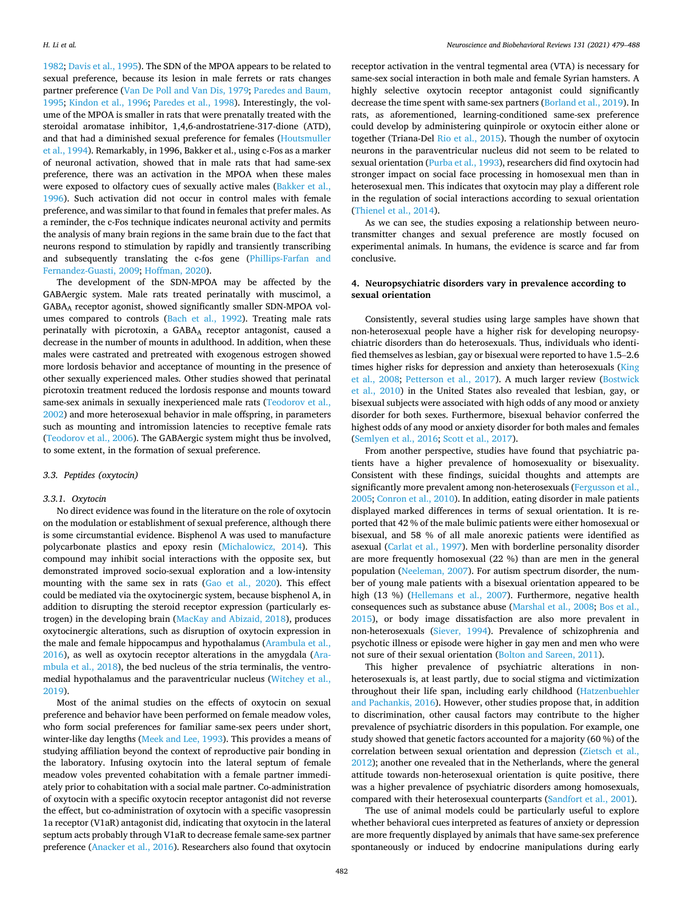[1982; Davis et al., 1995](#page-7-0)). The SDN of the MPOA appears to be related to sexual preference, because its lesion in male ferrets or rats changes partner preference [\(Van De Poll and Van Dis, 1979;](#page-9-0) [Paredes and Baum,](#page-8-0)  [1995; Kindon et al., 1996](#page-8-0); [Paredes et al., 1998](#page-8-0)). Interestingly, the volume of the MPOA is smaller in rats that were prenatally treated with the steroidal aromatase inhibitor, 1,4,6-androstatriene-317-dione (ATD), and that had a diminished sexual preference for females ([Houtsmuller](#page-8-0)  [et al., 1994\)](#page-8-0). Remarkably, in 1996, Bakker et al., using c-Fos as a marker of neuronal activation, showed that in male rats that had same-sex preference, there was an activation in the MPOA when these males were exposed to olfactory cues of sexually active males [\(Bakker et al.,](#page-6-0)  [1996\)](#page-6-0). Such activation did not occur in control males with female preference, and was similar to that found in females that prefer males. As a reminder, the c-Fos technique indicates neuronal activity and permits the analysis of many brain regions in the same brain due to the fact that neurons respond to stimulation by rapidly and transiently transcribing and subsequently translating the c-fos gene ([Phillips-Farfan and](#page-8-0)  [Fernandez-Guasti, 2009; Hoffman, 2020\)](#page-8-0).

The development of the SDN-MPOA may be affected by the GABAergic system. Male rats treated perinatally with muscimol, a GABAA receptor agonist, showed significantly smaller SDN-MPOA volumes compared to controls ([Bach et al., 1992](#page-6-0)). Treating male rats perinatally with picrotoxin, a GABAA receptor antagonist, caused a decrease in the number of mounts in adulthood. In addition, when these males were castrated and pretreated with exogenous estrogen showed more lordosis behavior and acceptance of mounting in the presence of other sexually experienced males. Other studies showed that perinatal picrotoxin treatment reduced the lordosis response and mounts toward same-sex animals in sexually inexperienced male rats ([Teodorov et al.,](#page-9-0)  [2002\)](#page-9-0) and more heterosexual behavior in male offspring, in parameters such as mounting and intromission latencies to receptive female rats ([Teodorov et al., 2006](#page-9-0)). The GABAergic system might thus be involved, to some extent, in the formation of sexual preference.

#### *3.3. Peptides (oxytocin)*

#### *3.3.1. Oxytocin*

No direct evidence was found in the literature on the role of oxytocin on the modulation or establishment of sexual preference, although there is some circumstantial evidence. Bisphenol A was used to manufacture polycarbonate plastics and epoxy resin ([Michalowicz, 2014](#page-8-0)). This compound may inhibit social interactions with the opposite sex, but demonstrated improved socio-sexual exploration and a low-intensity mounting with the same sex in rats [\(Gao et al., 2020\)](#page-7-0). This effect could be mediated via the oxytocinergic system, because bisphenol A, in addition to disrupting the steroid receptor expression (particularly estrogen) in the developing brain ([MacKay and Abizaid, 2018](#page-8-0)), produces oxytocinergic alterations, such as disruption of oxytocin expression in the male and female hippocampus and hypothalamus ([Arambula et al.,](#page-6-0)  [2016\)](#page-6-0), as well as oxytocin receptor alterations in the amygdala ([Ara](#page-6-0)[mbula et al., 2018\)](#page-6-0), the bed nucleus of the stria terminalis, the ventromedial hypothalamus and the paraventricular nucleus ([Witchey et al.,](#page-9-0)  [2019\)](#page-9-0).

Most of the animal studies on the effects of oxytocin on sexual preference and behavior have been performed on female meadow voles, who form social preferences for familiar same-sex peers under short, winter-like day lengths ([Meek and Lee, 1993](#page-8-0)). This provides a means of studying affiliation beyond the context of reproductive pair bonding in the laboratory. Infusing oxytocin into the lateral septum of female meadow voles prevented cohabitation with a female partner immediately prior to cohabitation with a social male partner. Co-administration of oxytocin with a specific oxytocin receptor antagonist did not reverse the effect, but co-administration of oxytocin with a specific vasopressin 1a receptor (V1aR) antagonist did, indicating that oxytocin in the lateral septum acts probably through V1aR to decrease female same-sex partner preference [\(Anacker et al., 2016](#page-6-0)). Researchers also found that oxytocin

receptor activation in the ventral tegmental area (VTA) is necessary for same-sex social interaction in both male and female Syrian hamsters. A highly selective oxytocin receptor antagonist could significantly decrease the time spent with same-sex partners ([Borland et al., 2019](#page-6-0)). In rats, as aforementioned, learning-conditioned same-sex preference could develop by administering quinpirole or oxytocin either alone or together (Triana-Del [Rio et al., 2015\)](#page-8-0). Though the number of oxytocin neurons in the paraventricular nucleus did not seem to be related to sexual orientation [\(Purba et al., 1993](#page-8-0)), researchers did find oxytocin had stronger impact on social face processing in homosexual men than in heterosexual men. This indicates that oxytocin may play a different role in the regulation of social interactions according to sexual orientation ([Thienel et al., 2014\)](#page-9-0).

As we can see, the studies exposing a relationship between neurotransmitter changes and sexual preference are mostly focused on experimental animals. In humans, the evidence is scarce and far from conclusive.

# **4. Neuropsychiatric disorders vary in prevalence according to sexual orientation**

Consistently, several studies using large samples have shown that non-heterosexual people have a higher risk for developing neuropsychiatric disorders than do heterosexuals. Thus, individuals who identified themselves as lesbian, gay or bisexual were reported to have 1.5–2.6 times higher risks for depression and anxiety than heterosexuals [\(King](#page-8-0)  [et al., 2008](#page-8-0); [Petterson et al., 2017](#page-8-0)). A much larger review ([Bostwick](#page-7-0)  [et al., 2010](#page-7-0)) in the United States also revealed that lesbian, gay, or bisexual subjects were associated with high odds of any mood or anxiety disorder for both sexes. Furthermore, bisexual behavior conferred the highest odds of any mood or anxiety disorder for both males and females ([Semlyen et al., 2016](#page-8-0); [Scott et al., 2017\)](#page-8-0).

From another perspective, studies have found that psychiatric patients have a higher prevalence of homosexuality or bisexuality. Consistent with these findings, suicidal thoughts and attempts are significantly more prevalent among non-heterosexuals [\(Fergusson et al.,](#page-7-0)  [2005; Conron et al., 2010](#page-7-0)). In addition, eating disorder in male patients displayed marked differences in terms of sexual orientation. It is reported that 42 % of the male bulimic patients were either homosexual or bisexual, and 58 % of all male anorexic patients were identified as asexual [\(Carlat et al., 1997](#page-7-0)). Men with borderline personality disorder are more frequently homosexual (22 %) than are men in the general population [\(Neeleman, 2007](#page-8-0)). For autism spectrum disorder, the number of young male patients with a bisexual orientation appeared to be high (13 %) ([Hellemans et al., 2007](#page-7-0)). Furthermore, negative health consequences such as substance abuse [\(Marshal et al., 2008](#page-8-0); [Bos et al.,](#page-7-0)  [2015\)](#page-7-0), or body image dissatisfaction are also more prevalent in non-heterosexuals [\(Siever, 1994](#page-9-0)). Prevalence of schizophrenia and psychotic illness or episode were higher in gay men and men who were not sure of their sexual orientation [\(Bolton and Sareen, 2011](#page-6-0)).

This higher prevalence of psychiatric alterations in nonheterosexuals is, at least partly, due to social stigma and victimization throughout their life span, including early childhood [\(Hatzenbuehler](#page-7-0)  [and Pachankis, 2016\)](#page-7-0). However, other studies propose that, in addition to discrimination, other causal factors may contribute to the higher prevalence of psychiatric disorders in this population. For example, one study showed that genetic factors accounted for a majority (60 %) of the correlation between sexual orientation and depression ([Zietsch et al.,](#page-9-0)  [2012\)](#page-9-0); another one revealed that in the Netherlands, where the general attitude towards non-heterosexual orientation is quite positive, there was a higher prevalence of psychiatric disorders among homosexuals, compared with their heterosexual counterparts [\(Sandfort et al., 2001\)](#page-8-0).

The use of animal models could be particularly useful to explore whether behavioral cues interpreted as features of anxiety or depression are more frequently displayed by animals that have same-sex preference spontaneously or induced by endocrine manipulations during early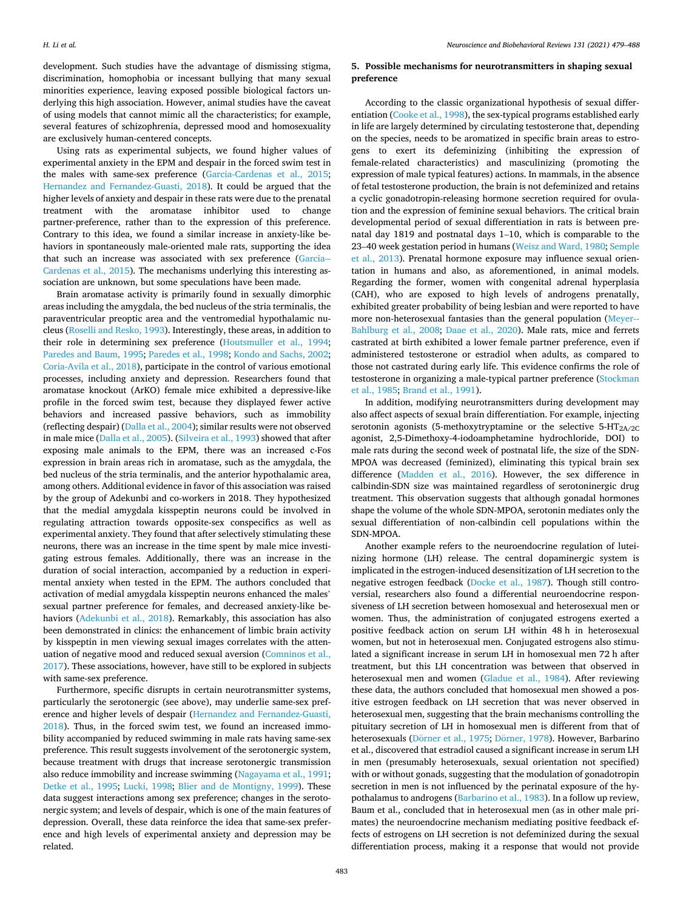development. Such studies have the advantage of dismissing stigma, discrimination, homophobia or incessant bullying that many sexual minorities experience, leaving exposed possible biological factors underlying this high association. However, animal studies have the caveat of using models that cannot mimic all the characteristics; for example, several features of schizophrenia, depressed mood and homosexuality are exclusively human-centered concepts.

Using rats as experimental subjects, we found higher values of experimental anxiety in the EPM and despair in the forced swim test in the males with same-sex preference ([Garcia-Cardenas et al., 2015](#page-7-0); [Hernandez and Fernandez-Guasti, 2018\)](#page-7-0). It could be argued that the higher levels of anxiety and despair in these rats were due to the prenatal treatment with the aromatase inhibitor used to change partner-preference, rather than to the expression of this preference. Contrary to this idea, we found a similar increase in anxiety-like behaviors in spontaneously male-oriented male rats, supporting the idea that such an increase was associated with sex preference ([Garcia--](#page-7-0)[Cardenas et al., 2015](#page-7-0)). The mechanisms underlying this interesting association are unknown, but some speculations have been made.

Brain aromatase activity is primarily found in sexually dimorphic areas including the amygdala, the bed nucleus of the stria terminalis, the paraventricular preoptic area and the ventromedial hypothalamic nucleus [\(Roselli and Resko, 1993\)](#page-8-0). Interestingly, these areas, in addition to their role in determining sex preference ([Houtsmuller et al., 1994](#page-8-0); [Paredes and Baum, 1995](#page-8-0); [Paredes et al., 1998](#page-8-0); [Kondo and Sachs, 2002](#page-8-0); [Coria-Avila et al., 2018](#page-7-0)), participate in the control of various emotional processes, including anxiety and depression. Researchers found that aromatase knockout (ArKO) female mice exhibited a depressive-like profile in the forced swim test, because they displayed fewer active behaviors and increased passive behaviors, such as immobility (reflecting despair) ([Dalla et al., 2004\)](#page-7-0); similar results were not observed in male mice ([Dalla et al., 2005\)](#page-7-0). ([Silveira et al., 1993](#page-9-0)) showed that after exposing male animals to the EPM, there was an increased c-Fos expression in brain areas rich in aromatase, such as the amygdala, the bed nucleus of the stria terminalis, and the anterior hypothalamic area, among others. Additional evidence in favor of this association was raised by the group of Adekunbi and co-workers in 2018. They hypothesized that the medial amygdala kisspeptin neurons could be involved in regulating attraction towards opposite-sex conspecifics as well as experimental anxiety. They found that after selectively stimulating these neurons, there was an increase in the time spent by male mice investigating estrous females. Additionally, there was an increase in the duration of social interaction, accompanied by a reduction in experimental anxiety when tested in the EPM. The authors concluded that activation of medial amygdala kisspeptin neurons enhanced the males' sexual partner preference for females, and decreased anxiety-like behaviors [\(Adekunbi et al., 2018](#page-6-0)). Remarkably, this association has also been demonstrated in clinics: the enhancement of limbic brain activity by kisspeptin in men viewing sexual images correlates with the attenuation of negative mood and reduced sexual aversion [\(Comninos et al.,](#page-7-0)  [2017\)](#page-7-0). These associations, however, have still to be explored in subjects with same-sex preference.

Furthermore, specific disrupts in certain neurotransmitter systems, particularly the serotonergic (see above), may underlie same-sex preference and higher levels of despair [\(Hernandez and Fernandez-Guasti,](#page-7-0)  [2018\)](#page-7-0). Thus, in the forced swim test, we found an increased immobility accompanied by reduced swimming in male rats having same-sex preference. This result suggests involvement of the serotonergic system, because treatment with drugs that increase serotonergic transmission also reduce immobility and increase swimming ([Nagayama et al., 1991](#page-8-0); [Detke et al., 1995;](#page-7-0) [Lucki, 1998](#page-8-0); [Blier and de Montigny, 1999](#page-6-0)). These data suggest interactions among sex preference; changes in the serotonergic system; and levels of despair, which is one of the main features of depression. Overall, these data reinforce the idea that same-sex preference and high levels of experimental anxiety and depression may be related.

# **5. Possible mechanisms for neurotransmitters in shaping sexual preference**

According to the classic organizational hypothesis of sexual differentiation ([Cooke et al., 1998](#page-7-0)), the sex-typical programs established early in life are largely determined by circulating testosterone that, depending on the species, needs to be aromatized in specific brain areas to estrogens to exert its defeminizing (inhibiting the expression of female-related characteristics) and masculinizing (promoting the expression of male typical features) actions. In mammals, in the absence of fetal testosterone production, the brain is not defeminized and retains a cyclic gonadotropin-releasing hormone secretion required for ovulation and the expression of feminine sexual behaviors. The critical brain developmental period of sexual differentiation in rats is between prenatal day 1819 and postnatal days 1–10, which is comparable to the 23–40 week gestation period in humans ([Weisz and Ward, 1980](#page-9-0); [Semple](#page-8-0)  [et al., 2013](#page-8-0)). Prenatal hormone exposure may influence sexual orientation in humans and also, as aforementioned, in animal models. Regarding the former, women with congenital adrenal hyperplasia (CAH), who are exposed to high levels of androgens prenatally, exhibited greater probability of being lesbian and were reported to have more non-heterosexual fantasies than the general population [\(Meyer--](#page-8-0)[Bahlburg et al., 2008;](#page-8-0) [Daae et al., 2020\)](#page-7-0). Male rats, mice and ferrets castrated at birth exhibited a lower female partner preference, even if administered testosterone or estradiol when adults, as compared to those not castrated during early life. This evidence confirms the role of testosterone in organizing a male-typical partner preference [\(Stockman](#page-9-0)  [et al., 1985;](#page-9-0) [Brand et al., 1991](#page-7-0)).

In addition, modifying neurotransmitters during development may also affect aspects of sexual brain differentiation. For example, injecting serotonin agonists (5-methoxytryptamine or the selective  $5-HT<sub>2A/2C</sub>$ agonist, 2,5-Dimethoxy-4-iodoamphetamine hydrochloride, DOI) to male rats during the second week of postnatal life, the size of the SDN-MPOA was decreased (feminized), eliminating this typical brain sex difference ([Madden et al., 2016\)](#page-8-0). However, the sex difference in calbindin-SDN size was maintained regardless of serotoninergic drug treatment. This observation suggests that although gonadal hormones shape the volume of the whole SDN-MPOA, serotonin mediates only the sexual differentiation of non-calbindin cell populations within the SDN-MPOA.

Another example refers to the neuroendocrine regulation of luteinizing hormone (LH) release. The central dopaminergic system is implicated in the estrogen-induced desensitization of LH secretion to the negative estrogen feedback [\(Docke et al., 1987](#page-7-0)). Though still controversial, researchers also found a differential neuroendocrine responsiveness of LH secretion between homosexual and heterosexual men or women. Thus, the administration of conjugated estrogens exerted a positive feedback action on serum LH within 48 h in heterosexual women, but not in heterosexual men. Conjugated estrogens also stimulated a significant increase in serum LH in homosexual men 72 h after treatment, but this LH concentration was between that observed in heterosexual men and women [\(Gladue et al., 1984\)](#page-7-0). After reviewing these data, the authors concluded that homosexual men showed a positive estrogen feedback on LH secretion that was never observed in heterosexual men, suggesting that the brain mechanisms controlling the pituitary secretion of LH in homosexual men is different from that of heterosexuals (Dörner [et al., 1975](#page-7-0); Dörner, 1978). However, Barbarino et al., discovered that estradiol caused a significant increase in serum LH in men (presumably heterosexuals, sexual orientation not specified) with or without gonads, suggesting that the modulation of gonadotropin secretion in men is not influenced by the perinatal exposure of the hypothalamus to androgens [\(Barbarino et al., 1983](#page-6-0)). In a follow up review, Baum et al., concluded that in heterosexual men (as in other male primates) the neuroendocrine mechanism mediating positive feedback effects of estrogens on LH secretion is not defeminized during the sexual differentiation process, making it a response that would not provide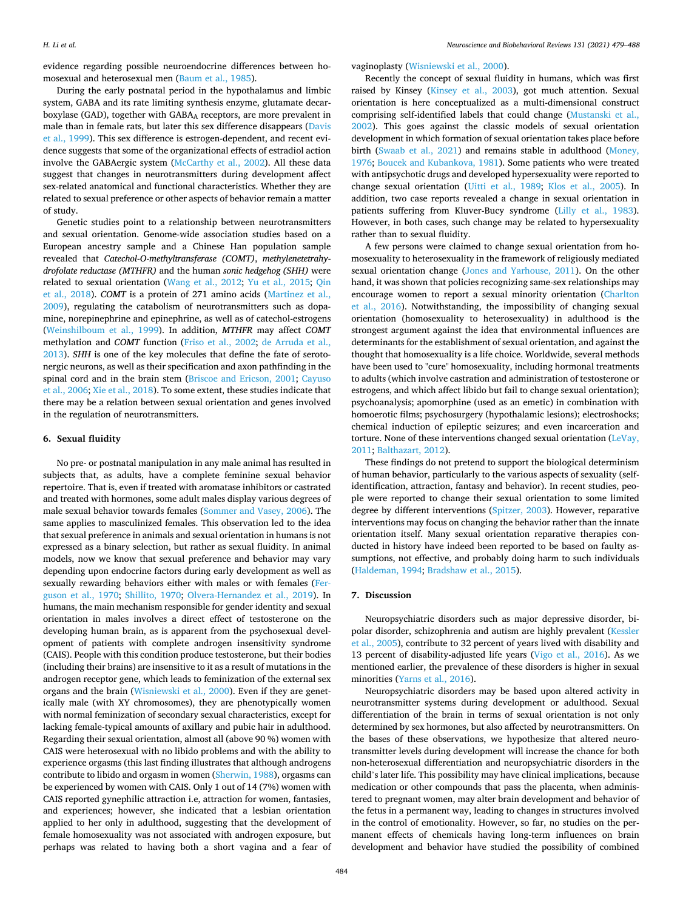evidence regarding possible neuroendocrine differences between homosexual and heterosexual men [\(Baum et al., 1985](#page-6-0)).

During the early postnatal period in the hypothalamus and limbic system, GABA and its rate limiting synthesis enzyme, glutamate decarboxylase (GAD), together with GABAA receptors, are more prevalent in male than in female rats, but later this sex difference disappears [\(Davis](#page-7-0)  [et al., 1999\)](#page-7-0). This sex difference is estrogen-dependent, and recent evidence suggests that some of the organizational effects of estradiol action involve the GABAergic system [\(McCarthy et al., 2002\)](#page-8-0). All these data suggest that changes in neurotransmitters during development affect sex-related anatomical and functional characteristics. Whether they are related to sexual preference or other aspects of behavior remain a matter of study.

Genetic studies point to a relationship between neurotransmitters and sexual orientation. Genome-wide association studies based on a European ancestry sample and a Chinese Han population sample revealed that *Catechol-O-methyltransferase (COMT)*, *methylenetetrahydrofolate reductase (MTHFR)* and the human *sonic hedgehog (SHH)* were related to sexual orientation ([Wang et al., 2012;](#page-9-0) [Yu et al., 2015](#page-9-0); [Qin](#page-8-0)  [et al., 2018](#page-8-0)). *COMT* is a protein of 271 amino acids ([Martinez et al.,](#page-8-0)  [2009\)](#page-8-0), regulating the catabolism of neurotransmitters such as dopamine, norepinephrine and epinephrine, as well as of catechol-estrogens ([Weinshilboum et al., 1999](#page-9-0)). In addition, *MTHFR* may affect *COMT*  methylation and *COMT* function ([Friso et al., 2002](#page-7-0); [de Arruda et al.,](#page-7-0)  [2013\)](#page-7-0). *SHH* is one of the key molecules that define the fate of serotonergic neurons, as well as their specification and axon pathfinding in the spinal cord and in the brain stem ([Briscoe and Ericson, 2001](#page-7-0); [Cayuso](#page-7-0)  [et al., 2006;](#page-7-0) [Xie et al., 2018\)](#page-9-0). To some extent, these studies indicate that there may be a relation between sexual orientation and genes involved in the regulation of neurotransmitters.

# **6. Sexual fluidity**

No pre- or postnatal manipulation in any male animal has resulted in subjects that, as adults, have a complete feminine sexual behavior repertoire. That is, even if treated with aromatase inhibitors or castrated and treated with hormones, some adult males display various degrees of male sexual behavior towards females ([Sommer and Vasey, 2006\)](#page-9-0). The same applies to masculinized females. This observation led to the idea that sexual preference in animals and sexual orientation in humans is not expressed as a binary selection, but rather as sexual fluidity. In animal models, now we know that sexual preference and behavior may vary depending upon endocrine factors during early development as well as sexually rewarding behaviors either with males or with females ([Fer](#page-7-0)[guson et al., 1970;](#page-7-0) [Shillito, 1970;](#page-9-0) [Olvera-Hernandez et al., 2019](#page-8-0)). In humans, the main mechanism responsible for gender identity and sexual orientation in males involves a direct effect of testosterone on the developing human brain, as is apparent from the psychosexual development of patients with complete androgen insensitivity syndrome (CAIS). People with this condition produce testosterone, but their bodies (including their brains) are insensitive to it as a result of mutations in the androgen receptor gene, which leads to feminization of the external sex organs and the brain [\(Wisniewski et al., 2000](#page-9-0)). Even if they are genetically male (with XY chromosomes), they are phenotypically women with normal feminization of secondary sexual characteristics, except for lacking female-typical amounts of axillary and pubic hair in adulthood. Regarding their sexual orientation, almost all (above 90 %) women with CAIS were heterosexual with no libido problems and with the ability to experience orgasms (this last finding illustrates that although androgens contribute to libido and orgasm in women [\(Sherwin, 1988\)](#page-9-0), orgasms can be experienced by women with CAIS. Only 1 out of 14 (7%) women with CAIS reported gynephilic attraction i.e, attraction for women, fantasies, and experiences; however, she indicated that a lesbian orientation applied to her only in adulthood, suggesting that the development of female homosexuality was not associated with androgen exposure, but perhaps was related to having both a short vagina and a fear of vaginoplasty ([Wisniewski et al., 2000](#page-9-0)).

Recently the concept of sexual fluidity in humans, which was first raised by Kinsey ([Kinsey et al., 2003](#page-8-0)), got much attention. Sexual orientation is here conceptualized as a multi-dimensional construct comprising self-identified labels that could change [\(Mustanski et al.,](#page-8-0)  [2002\)](#page-8-0). This goes against the classic models of sexual orientation development in which formation of sexual orientation takes place before birth [\(Swaab et al., 2021\)](#page-9-0) and remains stable in adulthood [\(Money,](#page-8-0)  [1976;](#page-8-0) [Boucek and Kubankova, 1981](#page-7-0)). Some patients who were treated with antipsychotic drugs and developed hypersexuality were reported to change sexual orientation [\(Uitti et al., 1989;](#page-9-0) [Klos et al., 2005](#page-8-0)). In addition, two case reports revealed a change in sexual orientation in patients suffering from Kluver-Bucy syndrome ([Lilly et al., 1983](#page-8-0)). However, in both cases, such change may be related to hypersexuality rather than to sexual fluidity.

A few persons were claimed to change sexual orientation from homosexuality to heterosexuality in the framework of religiously mediated sexual orientation change ([Jones and Yarhouse, 2011\)](#page-8-0). On the other hand, it was shown that policies recognizing same-sex relationships may encourage women to report a sexual minority orientation [\(Charlton](#page-7-0)  [et al., 2016\)](#page-7-0). Notwithstanding, the impossibility of changing sexual orientation (homosexuality to heterosexuality) in adulthood is the strongest argument against the idea that environmental influences are determinants for the establishment of sexual orientation, and against the thought that homosexuality is a life choice. Worldwide, several methods have been used to "cure" homosexuality, including hormonal treatments to adults (which involve castration and administration of testosterone or estrogens, and which affect libido but fail to change sexual orientation); psychoanalysis; apomorphine (used as an emetic) in combination with homoerotic films; psychosurgery (hypothalamic lesions); electroshocks; chemical induction of epileptic seizures; and even incarceration and torture. None of these interventions changed sexual orientation ([LeVay,](#page-8-0)  [2011;](#page-8-0) [Balthazart, 2012\)](#page-6-0).

These findings do not pretend to support the biological determinism of human behavior, particularly to the various aspects of sexuality (selfidentification, attraction, fantasy and behavior). In recent studies, people were reported to change their sexual orientation to some limited degree by different interventions ([Spitzer, 2003](#page-9-0)). However, reparative interventions may focus on changing the behavior rather than the innate orientation itself. Many sexual orientation reparative therapies conducted in history have indeed been reported to be based on faulty assumptions, not effective, and probably doing harm to such individuals ([Haldeman, 1994](#page-7-0); [Bradshaw et al., 2015](#page-7-0)).

# **7. Discussion**

Neuropsychiatric disorders such as major depressive disorder, bipolar disorder, schizophrenia and autism are highly prevalent ([Kessler](#page-8-0)  [et al., 2005\)](#page-8-0), contribute to 32 percent of years lived with disability and 13 percent of disability-adjusted life years ([Vigo et al., 2016](#page-9-0)). As we mentioned earlier, the prevalence of these disorders is higher in sexual minorities ([Yarns et al., 2016](#page-9-0)).

Neuropsychiatric disorders may be based upon altered activity in neurotransmitter systems during development or adulthood. Sexual differentiation of the brain in terms of sexual orientation is not only determined by sex hormones, but also affected by neurotransmitters. On the bases of these observations, we hypothesize that altered neurotransmitter levels during development will increase the chance for both non-heterosexual differentiation and neuropsychiatric disorders in the child's later life. This possibility may have clinical implications, because medication or other compounds that pass the placenta, when administered to pregnant women, may alter brain development and behavior of the fetus in a permanent way, leading to changes in structures involved in the control of emotionality. However, so far, no studies on the permanent effects of chemicals having long-term influences on brain development and behavior have studied the possibility of combined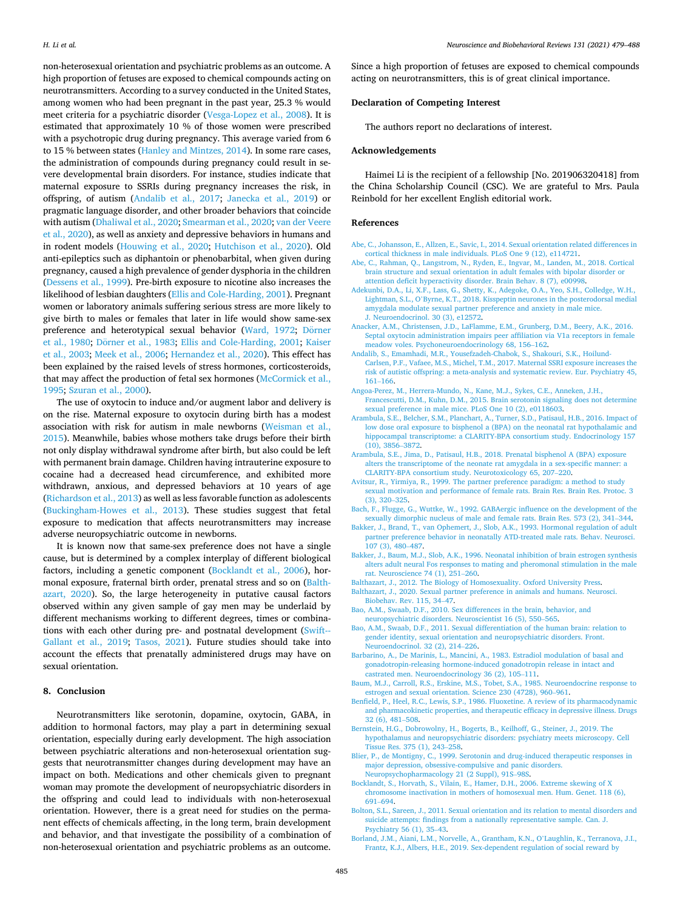<span id="page-6-0"></span>non-heterosexual orientation and psychiatric problems as an outcome. A high proportion of fetuses are exposed to chemical compounds acting on neurotransmitters. According to a survey conducted in the United States, among women who had been pregnant in the past year, 25.3 % would meet criteria for a psychiatric disorder [\(Vesga-Lopez et al., 2008](#page-9-0)). It is estimated that approximately 10 % of those women were prescribed with a psychotropic drug during pregnancy. This average varied from 6 to 15 % between states [\(Hanley and Mintzes, 2014](#page-7-0)). In some rare cases, the administration of compounds during pregnancy could result in severe developmental brain disorders. For instance, studies indicate that maternal exposure to SSRIs during pregnancy increases the risk, in offspring, of autism (Andalib et al., 2017; [Janecka et al., 2019](#page-8-0)) or pragmatic language disorder, and other broader behaviors that coincide with autism ([Dhaliwal et al., 2020;](#page-7-0) [Smearman et al., 2020](#page-9-0); [van der Veere](#page-9-0)  [et al., 2020\)](#page-9-0), as well as anxiety and depressive behaviors in humans and in rodent models ([Houwing et al., 2020;](#page-8-0) [Hutchison et al., 2020\)](#page-8-0). Old anti-epileptics such as diphantoin or phenobarbital, when given during pregnancy, caused a high prevalence of gender dysphoria in the children ([Dessens et al., 1999\)](#page-7-0). Pre-birth exposure to nicotine also increases the likelihood of lesbian daughters ([Ellis and Cole-Harding, 2001](#page-7-0)). Pregnant women or laboratory animals suffering serious stress are more likely to give birth to males or females that later in life would show same-sex preference and heterotypical sexual behavior [\(Ward, 1972](#page-9-0); Dörner [et al., 1980;](#page-7-0) Dörner [et al., 1983;](#page-7-0) [Ellis and Cole-Harding, 2001;](#page-7-0) Kaiser [et al., 2003;](#page-8-0) [Meek et al., 2006](#page-8-0); [Hernandez et al., 2020\)](#page-7-0). This effect has been explained by the raised levels of stress hormones, corticosteroids, that may affect the production of fetal sex hormones ([McCormick et al.,](#page-8-0)  [1995;](#page-8-0) [Szuran et al., 2000\)](#page-9-0).

The use of oxytocin to induce and/or augment labor and delivery is on the rise. Maternal exposure to oxytocin during birth has a modest association with risk for autism in male newborns [\(Weisman et al.,](#page-9-0)  [2015\)](#page-9-0). Meanwhile, babies whose mothers take drugs before their birth not only display withdrawal syndrome after birth, but also could be left with permanent brain damage. Children having intrauterine exposure to cocaine had a decreased head circumference, and exhibited more withdrawn, anxious, and depressed behaviors at 10 years of age ([Richardson et al., 2013\)](#page-8-0) as well as less favorable function as adolescents ([Buckingham-Howes et al., 2013\)](#page-7-0). These studies suggest that fetal exposure to medication that affects neurotransmitters may increase adverse neuropsychiatric outcome in newborns.

It is known now that same-sex preference does not have a single cause, but is determined by a complex interplay of different biological factors, including a genetic component (Bocklandt et al., 2006), hormonal exposure, fraternal birth order, prenatal stress and so on (Balthazart, 2020). So, the large heterogeneity in putative causal factors observed within any given sample of gay men may be underlaid by different mechanisms working to different degrees, times or combinations with each other during pre- and postnatal development [\(Swift--](#page-9-0)[Gallant et al., 2019;](#page-9-0) [Tasos, 2021](#page-9-0)). Future studies should take into account the effects that prenatally administered drugs may have on sexual orientation.

# **8. Conclusion**

Neurotransmitters like serotonin, dopamine, oxytocin, GABA, in addition to hormonal factors, may play a part in determining sexual orientation, especially during early development. The high association between psychiatric alterations and non-heterosexual orientation suggests that neurotransmitter changes during development may have an impact on both. Medications and other chemicals given to pregnant woman may promote the development of neuropsychiatric disorders in the offspring and could lead to individuals with non-heterosexual orientation. However, there is a great need for studies on the permanent effects of chemicals affecting, in the long term, brain development and behavior, and that investigate the possibility of a combination of non-heterosexual orientation and psychiatric problems as an outcome.

Since a high proportion of fetuses are exposed to chemical compounds acting on neurotransmitters, this is of great clinical importance.

# **Declaration of Competing Interest**

The authors report no declarations of interest.

#### **Acknowledgements**

Haimei Li is the recipient of a fellowship [No. 201906320418] from the China Scholarship Council (CSC). We are grateful to Mrs. Paula Reinbold for her excellent English editorial work.

#### **References**

- [Abe, C., Johansson, E., Allzen, E., Savic, I., 2014. Sexual orientation related differences in](http://refhub.elsevier.com/S0149-7634(21)00431-0/sbref0005)  [cortical thickness in male individuals. PLoS One 9 \(12\), e114721](http://refhub.elsevier.com/S0149-7634(21)00431-0/sbref0005).
- [Abe, C., Rahman, Q., Langstrom, N., Ryden, E., Ingvar, M., Landen, M., 2018. Cortical](http://refhub.elsevier.com/S0149-7634(21)00431-0/sbref0010) [brain structure and sexual orientation in adult females with bipolar disorder or](http://refhub.elsevier.com/S0149-7634(21)00431-0/sbref0010)  [attention deficit hyperactivity disorder. Brain Behav. 8 \(7\), e00998](http://refhub.elsevier.com/S0149-7634(21)00431-0/sbref0010).
- [Adekunbi, D.A., Li, X.F., Lass, G., Shetty, K., Adegoke, O.A., Yeo, S.H., Colledge, W.H.,](http://refhub.elsevier.com/S0149-7634(21)00431-0/sbref0015) Lightman, S.L., O'[Byrne, K.T., 2018. Kisspeptin neurones in the posterodorsal medial](http://refhub.elsevier.com/S0149-7634(21)00431-0/sbref0015)  [amygdala modulate sexual partner preference and anxiety in male mice.](http://refhub.elsevier.com/S0149-7634(21)00431-0/sbref0015) [J. Neuroendocrinol. 30 \(3\), e12572.](http://refhub.elsevier.com/S0149-7634(21)00431-0/sbref0015)
- [Anacker, A.M., Christensen, J.D., LaFlamme, E.M., Grunberg, D.M., Beery, A.K., 2016.](http://refhub.elsevier.com/S0149-7634(21)00431-0/sbref0020)  [Septal oxytocin administration impairs peer affiliation via V1a receptors in female](http://refhub.elsevier.com/S0149-7634(21)00431-0/sbref0020)  [meadow voles. Psychoneuroendocrinology 68, 156](http://refhub.elsevier.com/S0149-7634(21)00431-0/sbref0020)–162.
- [Andalib, S., Emamhadi, M.R., Yousefzadeh-Chabok, S., Shakouri, S.K., Hoilund-](http://refhub.elsevier.com/S0149-7634(21)00431-0/sbref0025)[Carlsen, P.F., Vafaee, M.S., Michel, T.M., 2017. Maternal SSRI exposure increases the](http://refhub.elsevier.com/S0149-7634(21)00431-0/sbref0025)  [risk of autistic offspring: a meta-analysis and systematic review. Eur. Psychiatry 45,](http://refhub.elsevier.com/S0149-7634(21)00431-0/sbref0025)  161–[166](http://refhub.elsevier.com/S0149-7634(21)00431-0/sbref0025).
- [Angoa-Perez, M., Herrera-Mundo, N., Kane, M.J., Sykes, C.E., Anneken, J.H.,](http://refhub.elsevier.com/S0149-7634(21)00431-0/sbref0030)  [Francescutti, D.M., Kuhn, D.M., 2015. Brain serotonin signaling does not determine](http://refhub.elsevier.com/S0149-7634(21)00431-0/sbref0030)  [sexual preference in male mice. PLoS One 10 \(2\), e0118603](http://refhub.elsevier.com/S0149-7634(21)00431-0/sbref0030).
- [Arambula, S.E., Belcher, S.M., Planchart, A., Turner, S.D., Patisaul, H.B., 2016. Impact of](http://refhub.elsevier.com/S0149-7634(21)00431-0/sbref0035)  [low dose oral exposure to bisphenol a \(BPA\) on the neonatal rat hypothalamic and](http://refhub.elsevier.com/S0149-7634(21)00431-0/sbref0035)  [hippocampal transcriptome: a CLARITY-BPA consortium study. Endocrinology 157](http://refhub.elsevier.com/S0149-7634(21)00431-0/sbref0035) [\(10\), 3856](http://refhub.elsevier.com/S0149-7634(21)00431-0/sbref0035)–3872.
- [Arambula, S.E., Jima, D., Patisaul, H.B., 2018. Prenatal bisphenol A \(BPA\) exposure](http://refhub.elsevier.com/S0149-7634(21)00431-0/sbref0040)  [alters the transcriptome of the neonate rat amygdala in a sex-specific manner: a](http://refhub.elsevier.com/S0149-7634(21)00431-0/sbref0040) [CLARITY-BPA consortium study. Neurotoxicology 65, 207](http://refhub.elsevier.com/S0149-7634(21)00431-0/sbref0040)–220.
- [Avitsur, R., Yirmiya, R., 1999. The partner preference paradigm: a method to study](http://refhub.elsevier.com/S0149-7634(21)00431-0/sbref0045) [sexual motivation and performance of female rats. Brain Res. Brain Res. Protoc. 3](http://refhub.elsevier.com/S0149-7634(21)00431-0/sbref0045) [\(3\), 320](http://refhub.elsevier.com/S0149-7634(21)00431-0/sbref0045)–325.
- [Bach, F., Flugge, G., Wuttke, W., 1992. GABAergic influence on the development of the](http://refhub.elsevier.com/S0149-7634(21)00431-0/sbref0050)  [sexually dimorphic nucleus of male and female rats. Brain Res. 573 \(2\), 341](http://refhub.elsevier.com/S0149-7634(21)00431-0/sbref0050)–344.
- [Bakker, J., Brand, T., van Ophemert, J., Slob, A.K., 1993. Hormonal regulation of adult](http://refhub.elsevier.com/S0149-7634(21)00431-0/sbref0055)  [partner preference behavior in neonatally ATD-treated male rats. Behav. Neurosci.](http://refhub.elsevier.com/S0149-7634(21)00431-0/sbref0055) [107 \(3\), 480](http://refhub.elsevier.com/S0149-7634(21)00431-0/sbref0055)–487.
- [Bakker, J., Baum, M.J., Slob, A.K., 1996. Neonatal inhibition of brain estrogen synthesis](http://refhub.elsevier.com/S0149-7634(21)00431-0/sbref0060)  [alters adult neural Fos responses to mating and pheromonal stimulation in the male](http://refhub.elsevier.com/S0149-7634(21)00431-0/sbref0060)  [rat. Neuroscience 74 \(1\), 251](http://refhub.elsevier.com/S0149-7634(21)00431-0/sbref0060)–260.
- [Balthazart, J., 2012. The Biology of Homosexuality. Oxford University Press.](http://refhub.elsevier.com/S0149-7634(21)00431-0/sbref0065)
- [Balthazart, J., 2020. Sexual partner preference in animals and humans. Neurosci.](http://refhub.elsevier.com/S0149-7634(21)00431-0/sbref0070)  [Biobehav. Rev. 115, 34](http://refhub.elsevier.com/S0149-7634(21)00431-0/sbref0070)–47.
- [Bao, A.M., Swaab, D.F., 2010. Sex differences in the brain, behavior, and](http://refhub.elsevier.com/S0149-7634(21)00431-0/sbref0075)  [neuropsychiatric disorders. Neuroscientist 16 \(5\), 550](http://refhub.elsevier.com/S0149-7634(21)00431-0/sbref0075)–565.
- [Bao, A.M., Swaab, D.F., 2011. Sexual differentiation of the human brain: relation to](http://refhub.elsevier.com/S0149-7634(21)00431-0/sbref0080) [gender identity, sexual orientation and neuropsychiatric disorders. Front.](http://refhub.elsevier.com/S0149-7634(21)00431-0/sbref0080)  [Neuroendocrinol. 32 \(2\), 214](http://refhub.elsevier.com/S0149-7634(21)00431-0/sbref0080)–226.
- [Barbarino, A., De Marinis, L., Mancini, A., 1983. Estradiol modulation of basal and](http://refhub.elsevier.com/S0149-7634(21)00431-0/sbref0085)  [gonadotropin-releasing hormone-induced gonadotropin release in intact and](http://refhub.elsevier.com/S0149-7634(21)00431-0/sbref0085)  [castrated men. Neuroendocrinology 36 \(2\), 105](http://refhub.elsevier.com/S0149-7634(21)00431-0/sbref0085)–111.
- [Baum, M.J., Carroll, R.S., Erskine, M.S., Tobet, S.A., 1985. Neuroendocrine response to](http://refhub.elsevier.com/S0149-7634(21)00431-0/sbref0090) [estrogen and sexual orientation. Science 230 \(4728\), 960](http://refhub.elsevier.com/S0149-7634(21)00431-0/sbref0090)–961.
- [Benfield, P., Heel, R.C., Lewis, S.P., 1986. Fluoxetine. A review of its pharmacodynamic](http://refhub.elsevier.com/S0149-7634(21)00431-0/sbref0095)  [and pharmacokinetic properties, and therapeutic efficacy in depressive illness. Drugs](http://refhub.elsevier.com/S0149-7634(21)00431-0/sbref0095)  [32 \(6\), 481](http://refhub.elsevier.com/S0149-7634(21)00431-0/sbref0095)–508.
- [Bernstein, H.G., Dobrowolny, H., Bogerts, B., Keilhoff, G., Steiner, J., 2019. The](http://refhub.elsevier.com/S0149-7634(21)00431-0/sbref0100)  [hypothalamus and neuropsychiatric disorders: psychiatry meets microscopy. Cell](http://refhub.elsevier.com/S0149-7634(21)00431-0/sbref0100) [Tissue Res. 375 \(1\), 243](http://refhub.elsevier.com/S0149-7634(21)00431-0/sbref0100)–258.
- [Blier, P., de Montigny, C., 1999. Serotonin and drug-induced therapeutic responses in](http://refhub.elsevier.com/S0149-7634(21)00431-0/sbref0105)  [major depression, obsessive-compulsive and panic disorders.](http://refhub.elsevier.com/S0149-7634(21)00431-0/sbref0105)  [Neuropsychopharmacology 21 \(2 Suppl\), 91S](http://refhub.elsevier.com/S0149-7634(21)00431-0/sbref0105)–98S.
- [Bocklandt, S., Horvath, S., Vilain, E., Hamer, D.H., 2006. Extreme skewing of X](http://refhub.elsevier.com/S0149-7634(21)00431-0/sbref0110) [chromosome inactivation in mothers of homosexual men. Hum. Genet. 118 \(6\),](http://refhub.elsevier.com/S0149-7634(21)00431-0/sbref0110)  691–[694](http://refhub.elsevier.com/S0149-7634(21)00431-0/sbref0110).
- [Bolton, S.L., Sareen, J., 2011. Sexual orientation and its relation to mental disorders and](http://refhub.elsevier.com/S0149-7634(21)00431-0/sbref0115)  [suicide attempts: findings from a nationally representative sample. Can. J.](http://refhub.elsevier.com/S0149-7634(21)00431-0/sbref0115)  [Psychiatry 56 \(1\), 35](http://refhub.elsevier.com/S0149-7634(21)00431-0/sbref0115)–43.
- [Borland, J.M., Aiani, L.M., Norvelle, A., Grantham, K.N., O](http://refhub.elsevier.com/S0149-7634(21)00431-0/sbref0120)'Laughlin, K., Terranova, J.I., [Frantz, K.J., Albers, H.E., 2019. Sex-dependent regulation of social reward by](http://refhub.elsevier.com/S0149-7634(21)00431-0/sbref0120)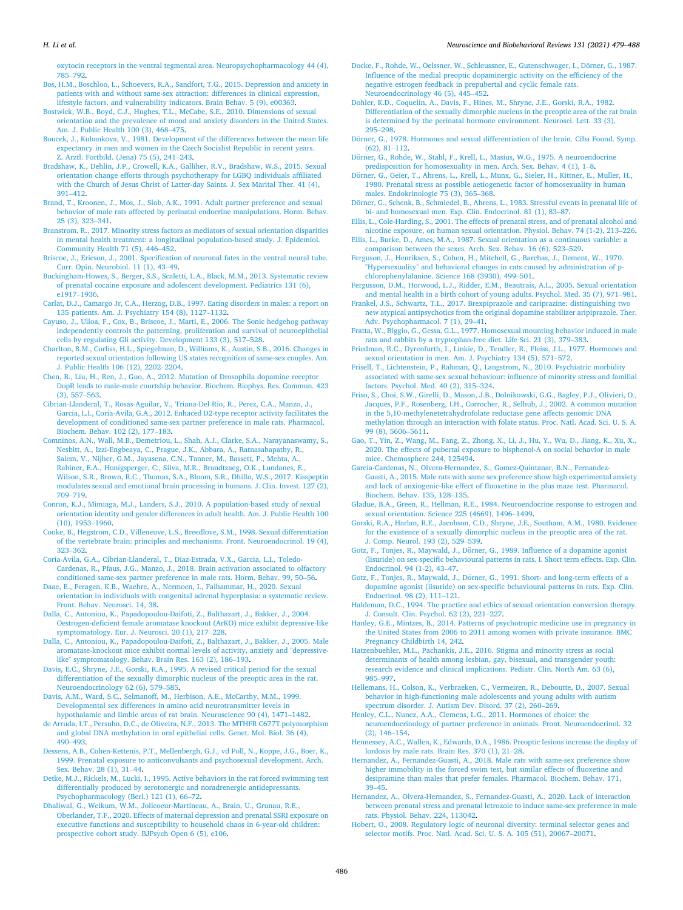<span id="page-7-0"></span>[oxytocin receptors in the ventral tegmental area. Neuropsychopharmacology 44 \(4\),](http://refhub.elsevier.com/S0149-7634(21)00431-0/sbref0120)  785–[792](http://refhub.elsevier.com/S0149-7634(21)00431-0/sbref0120).

- [Bos, H.M., Boschloo, L., Schoevers, R.A., Sandfort, T.G., 2015. Depression and anxiety in](http://refhub.elsevier.com/S0149-7634(21)00431-0/sbref0125)  [patients with and without same-sex attraction: differences in clinical expression,](http://refhub.elsevier.com/S0149-7634(21)00431-0/sbref0125)  [lifestyle factors, and vulnerability indicators. Brain Behav. 5 \(9\), e00363.](http://refhub.elsevier.com/S0149-7634(21)00431-0/sbref0125)
- [Bostwick, W.B., Boyd, C.J., Hughes, T.L., McCabe, S.E., 2010. Dimensions of sexual](http://refhub.elsevier.com/S0149-7634(21)00431-0/sbref0130)  [orientation and the prevalence of mood and anxiety disorders in the United States.](http://refhub.elsevier.com/S0149-7634(21)00431-0/sbref0130)  [Am. J. Public Health 100 \(3\), 468](http://refhub.elsevier.com/S0149-7634(21)00431-0/sbref0130)–475.
- [Boucek, J., Kubankova, V., 1981. Development of the differences between the mean life](http://refhub.elsevier.com/S0149-7634(21)00431-0/sbref0135)  [expectancy in men and women in the Czech Socialist Republic in recent years.](http://refhub.elsevier.com/S0149-7634(21)00431-0/sbref0135) [Z. Arztl. Fortbild. \(Jena\) 75 \(5\), 241](http://refhub.elsevier.com/S0149-7634(21)00431-0/sbref0135)–243.
- [Bradshaw, K., Dehlin, J.P., Crowell, K.A., Galliher, R.V., Bradshaw, W.S., 2015. Sexual](http://refhub.elsevier.com/S0149-7634(21)00431-0/sbref0140)  [orientation change efforts through psychotherapy for LGBQ individuals affiliated](http://refhub.elsevier.com/S0149-7634(21)00431-0/sbref0140) [with the Church of Jesus Christ of Latter-day Saints. J. Sex Marital Ther. 41 \(4\),](http://refhub.elsevier.com/S0149-7634(21)00431-0/sbref0140) 391–[412](http://refhub.elsevier.com/S0149-7634(21)00431-0/sbref0140).
- [Brand, T., Kroonen, J., Mos, J., Slob, A.K., 1991. Adult partner preference and sexual](http://refhub.elsevier.com/S0149-7634(21)00431-0/sbref0145)  [behavior of male rats affected by perinatal endocrine manipulations. Horm. Behav.](http://refhub.elsevier.com/S0149-7634(21)00431-0/sbref0145)  [25 \(3\), 323](http://refhub.elsevier.com/S0149-7634(21)00431-0/sbref0145)–341.
- [Branstrom, R., 2017. Minority stress factors as mediators of sexual orientation disparities](http://refhub.elsevier.com/S0149-7634(21)00431-0/sbref0150)  [in mental health treatment: a longitudinal population-based study. J. Epidemiol.](http://refhub.elsevier.com/S0149-7634(21)00431-0/sbref0150) [Community Health 71 \(5\), 446](http://refhub.elsevier.com/S0149-7634(21)00431-0/sbref0150)–452.
- [Briscoe, J., Ericson, J., 2001. Specification of neuronal fates in the ventral neural tube.](http://refhub.elsevier.com/S0149-7634(21)00431-0/sbref0155) [Curr. Opin. Neurobiol. 11 \(1\), 43](http://refhub.elsevier.com/S0149-7634(21)00431-0/sbref0155)–49.
- [Buckingham-Howes, S., Berger, S.S., Scaletti, L.A., Black, M.M., 2013. Systematic review](http://refhub.elsevier.com/S0149-7634(21)00431-0/sbref0160)  [of prenatal cocaine exposure and adolescent development. Pediatrics 131 \(6\),](http://refhub.elsevier.com/S0149-7634(21)00431-0/sbref0160) [e1917](http://refhub.elsevier.com/S0149-7634(21)00431-0/sbref0160)–1936.

[Carlat, D.J., Camargo Jr, C.A., Herzog, D.B., 1997. Eating disorders in males: a report on](http://refhub.elsevier.com/S0149-7634(21)00431-0/sbref0165)  [135 patients. Am. J. Psychiatry 154 \(8\), 1127](http://refhub.elsevier.com/S0149-7634(21)00431-0/sbref0165)–1132.

- [Cayuso, J., Ulloa, F., Cox, B., Briscoe, J., Marti, E., 2006. The Sonic hedgehog pathway](http://refhub.elsevier.com/S0149-7634(21)00431-0/sbref0170)  [independently controls the patterning, proliferation and survival of neuroepithelial](http://refhub.elsevier.com/S0149-7634(21)00431-0/sbref0170) [cells by regulating Gli activity. Development 133 \(3\), 517](http://refhub.elsevier.com/S0149-7634(21)00431-0/sbref0170)–528.
- [Charlton, B.M., Corliss, H.L., Spiegelman, D., Williams, K., Austin, S.B., 2016. Changes in](http://refhub.elsevier.com/S0149-7634(21)00431-0/sbref0175)  [reported sexual orientation following US states recognition of same-sex couples. Am.](http://refhub.elsevier.com/S0149-7634(21)00431-0/sbref0175)  [J. Public Health 106 \(12\), 2202](http://refhub.elsevier.com/S0149-7634(21)00431-0/sbref0175)–2204.
- [Chen, B., Liu, H., Ren, J., Guo, A., 2012. Mutation of Drosophila dopamine receptor](http://refhub.elsevier.com/S0149-7634(21)00431-0/sbref0180)  [DopR leads to male-male courtship behavior. Biochem. Biophys. Res. Commun. 423](http://refhub.elsevier.com/S0149-7634(21)00431-0/sbref0180)  [\(3\), 557](http://refhub.elsevier.com/S0149-7634(21)00431-0/sbref0180)–563.

[Cibrian-Llanderal, T., Rosas-Aguilar, V., Triana-Del Rio, R., Perez, C.A., Manzo, J.,](http://refhub.elsevier.com/S0149-7634(21)00431-0/sbref0185)  [Garcia, L.I., Coria-Avila, G.A., 2012. Enhaced D2-type receptor activity facilitates the](http://refhub.elsevier.com/S0149-7634(21)00431-0/sbref0185)  [development of conditioned same-sex partner preference in male rats. Pharmacol.](http://refhub.elsevier.com/S0149-7634(21)00431-0/sbref0185) [Biochem. Behav. 102 \(2\), 177](http://refhub.elsevier.com/S0149-7634(21)00431-0/sbref0185)–183.

- [Comninos, A.N., Wall, M.B., Demetriou, L., Shah, A.J., Clarke, S.A., Narayanaswamy, S.,](http://refhub.elsevier.com/S0149-7634(21)00431-0/sbref0190)  [Nesbitt, A., Izzi-Engbeaya, C., Prague, J.K., Abbara, A., Ratnasabapathy, R.,](http://refhub.elsevier.com/S0149-7634(21)00431-0/sbref0190) [Salem, V., Nijher, G.M., Jayasena, C.N., Tanner, M., Bassett, P., Mehta, A.,](http://refhub.elsevier.com/S0149-7634(21)00431-0/sbref0190)  [Rabiner, E.A., Honigsperger, C., Silva, M.R., Brandtzaeg, O.K., Lundanes, E.,](http://refhub.elsevier.com/S0149-7634(21)00431-0/sbref0190)  Wilson, S.R., Brown, R.C., Thomas, S.A., Bloom, S.R., Dhillo, W.S., 2017. Kisspeptin [modulates sexual and emotional brain processing in humans. J. Clin. Invest. 127 \(2\),](http://refhub.elsevier.com/S0149-7634(21)00431-0/sbref0190)  709–[719](http://refhub.elsevier.com/S0149-7634(21)00431-0/sbref0190).
- [Conron, K.J., Mimiaga, M.J., Landers, S.J., 2010. A population-based study of sexual](http://refhub.elsevier.com/S0149-7634(21)00431-0/sbref0195)  [orientation identity and gender differences in adult health. Am. J. Public Health 100](http://refhub.elsevier.com/S0149-7634(21)00431-0/sbref0195)  [\(10\), 1953](http://refhub.elsevier.com/S0149-7634(21)00431-0/sbref0195)–1960.
- [Cooke, B., Hegstrom, C.D., Villeneuve, L.S., Breedlove, S.M., 1998. Sexual differentiation](http://refhub.elsevier.com/S0149-7634(21)00431-0/sbref0200)  [of the vertebrate brain: principles and mechanisms. Front. Neuroendocrinol. 19 \(4\),](http://refhub.elsevier.com/S0149-7634(21)00431-0/sbref0200)  323–[362](http://refhub.elsevier.com/S0149-7634(21)00431-0/sbref0200).
- [Coria-Avila, G.A., Cibrian-Llanderal, T., Diaz-Estrada, V.X., Garcia, L.I., Toledo-](http://refhub.elsevier.com/S0149-7634(21)00431-0/sbref0205)[Cardenas, R., Pfaus, J.G., Manzo, J., 2018. Brain activation associated to olfactory](http://refhub.elsevier.com/S0149-7634(21)00431-0/sbref0205) [conditioned same-sex partner preference in male rats. Horm. Behav. 99, 50](http://refhub.elsevier.com/S0149-7634(21)00431-0/sbref0205)–56.
- [Daae, E., Feragen, K.B., Waehre, A., Nermoen, I., Falhammar, H., 2020. Sexual](http://refhub.elsevier.com/S0149-7634(21)00431-0/sbref0210)  [orientation in individuals with congenital adrenal hyperplasia: a systematic review.](http://refhub.elsevier.com/S0149-7634(21)00431-0/sbref0210)  [Front. Behav. Neurosci. 14, 38.](http://refhub.elsevier.com/S0149-7634(21)00431-0/sbref0210)
- [Dalla, C., Antoniou, K., Papadopoulou-Daifoti, Z., Balthazart, J., Bakker, J., 2004.](http://refhub.elsevier.com/S0149-7634(21)00431-0/sbref0215)  [Oestrogen-deficient female aromatase knockout \(ArKO\) mice exhibit depressive-like](http://refhub.elsevier.com/S0149-7634(21)00431-0/sbref0215)  [symptomatology. Eur. J. Neurosci. 20 \(1\), 217](http://refhub.elsevier.com/S0149-7634(21)00431-0/sbref0215)–228.
- [Dalla, C., Antoniou, K., Papadopoulou-Daifoti, Z., Balthazart, J., Bakker, J., 2005. Male](http://refhub.elsevier.com/S0149-7634(21)00431-0/sbref0220)  [aromatase-knockout mice exhibit normal levels of activity, anxiety and "depressive](http://refhub.elsevier.com/S0149-7634(21)00431-0/sbref0220)[like" symptomatology. Behav. Brain Res. 163 \(2\), 186](http://refhub.elsevier.com/S0149-7634(21)00431-0/sbref0220)–193.
- [Davis, E.C., Shryne, J.E., Gorski, R.A., 1995. A revised critical period for the sexual](http://refhub.elsevier.com/S0149-7634(21)00431-0/sbref0225) [differentiation of the sexually dimorphic nucleus of the preoptic area in the rat.](http://refhub.elsevier.com/S0149-7634(21)00431-0/sbref0225)  [Neuroendocrinology 62 \(6\), 579](http://refhub.elsevier.com/S0149-7634(21)00431-0/sbref0225)–585.
- [Davis, A.M., Ward, S.C., Selmanoff, M., Herbison, A.E., McCarthy, M.M., 1999.](http://refhub.elsevier.com/S0149-7634(21)00431-0/sbref0230)  [Developmental sex differences in amino acid neurotransmitter levels in](http://refhub.elsevier.com/S0149-7634(21)00431-0/sbref0230)  [hypothalamic and limbic areas of rat brain. Neuroscience 90 \(4\), 1471](http://refhub.elsevier.com/S0149-7634(21)00431-0/sbref0230)–1482.
- [de Arruda, I.T., Persuhn, D.C., de Oliveira, N.F., 2013. The MTHFR C677T polymorphism](http://refhub.elsevier.com/S0149-7634(21)00431-0/sbref0235)  [and global DNA methylation in oral epithelial cells. Genet. Mol. Biol. 36 \(4\),](http://refhub.elsevier.com/S0149-7634(21)00431-0/sbref0235)  490–[493](http://refhub.elsevier.com/S0149-7634(21)00431-0/sbref0235).
- [Dessens, A.B., Cohen-Kettenis, P.T., Mellenbergh, G.J., vd Poll, N., Koppe, J.G., Boer, K.,](http://refhub.elsevier.com/S0149-7634(21)00431-0/sbref0240)  [1999. Prenatal exposure to anticonvulsants and psychosexual development. Arch.](http://refhub.elsevier.com/S0149-7634(21)00431-0/sbref0240) [Sex. Behav. 28 \(1\), 31](http://refhub.elsevier.com/S0149-7634(21)00431-0/sbref0240)–44.
- [Detke, M.J., Rickels, M., Lucki, I., 1995. Active behaviors in the rat forced swimming test](http://refhub.elsevier.com/S0149-7634(21)00431-0/sbref0245)  [differentially produced by serotonergic and noradrenergic antidepressants.](http://refhub.elsevier.com/S0149-7634(21)00431-0/sbref0245) [Psychopharmacology \(Berl.\) 121 \(1\), 66](http://refhub.elsevier.com/S0149-7634(21)00431-0/sbref0245)–72.
- [Dhaliwal, G., Weikum, W.M., Jolicoeur-Martineau, A., Brain, U., Grunau, R.E.,](http://refhub.elsevier.com/S0149-7634(21)00431-0/sbref0250)  [Oberlander, T.F., 2020. Effects of maternal depression and prenatal SSRI exposure on](http://refhub.elsevier.com/S0149-7634(21)00431-0/sbref0250)  [executive functions and susceptibility to household chaos in 6-year-old children:](http://refhub.elsevier.com/S0149-7634(21)00431-0/sbref0250) [prospective cohort study. BJPsych Open 6 \(5\), e106.](http://refhub.elsevier.com/S0149-7634(21)00431-0/sbref0250)
- Docke, F., Rohde, W., Oelssner, W., Schleussner, E., Gutenschwager, I., Dörner, G., 1987. [Influence of the medial preoptic dopaminergic activity on the efficiency of the](http://refhub.elsevier.com/S0149-7634(21)00431-0/sbref0255)  [negative estrogen feedback in prepubertal and cyclic female rats.](http://refhub.elsevier.com/S0149-7634(21)00431-0/sbref0255)  [Neuroendocrinology 46 \(5\), 445](http://refhub.elsevier.com/S0149-7634(21)00431-0/sbref0255)–452.
- [Dohler, K.D., Coquelin, A., Davis, F., Hines, M., Shryne, J.E., Gorski, R.A., 1982.](http://refhub.elsevier.com/S0149-7634(21)00431-0/sbref0260) [Differentiation of the sexually dimorphic nucleus in the preoptic area of the rat brain](http://refhub.elsevier.com/S0149-7634(21)00431-0/sbref0260)  [is determined by the perinatal hormone environment. Neurosci. Lett. 33 \(3\),](http://refhub.elsevier.com/S0149-7634(21)00431-0/sbref0260) 295–[298](http://refhub.elsevier.com/S0149-7634(21)00431-0/sbref0260).
- Dörner, G., 1978. Hormones and sexual differentiation of the brain. Ciba Found. Symp. [\(62\), 81](http://refhub.elsevier.com/S0149-7634(21)00431-0/sbref0265)–112.
- Dörner, G., Rohde, W., Stahl, F., Krell, L., Masius, W.G., 1975. A neuroendocrine [predisposition for homosexuality in men. Arch. Sex. Behav. 4 \(1\), 1](http://refhub.elsevier.com/S0149-7634(21)00431-0/sbref0270)–8.
- Dörner, [G., Geier, T., Ahrens, L., Krell, L., Munx, G., Sieler, H., Kittner, E., Muller, H.,](http://refhub.elsevier.com/S0149-7634(21)00431-0/sbref0275) [1980. Prenatal stress as possible aetiogenetic factor of homosexuality in human](http://refhub.elsevier.com/S0149-7634(21)00431-0/sbref0275)  [males. Endokrinologie 75 \(3\), 365](http://refhub.elsevier.com/S0149-7634(21)00431-0/sbref0275)–368.
- Dörner, G., Schenk, B., Schmiedel, B., Ahrens, L., 1983. Stressful events in prenatal life of [bi- and homosexual men. Exp. Clin. Endocrinol. 81 \(1\), 83](http://refhub.elsevier.com/S0149-7634(21)00431-0/sbref0280)–87.
- [Ellis, L., Cole-Harding, S., 2001. The effects of prenatal stress, and of prenatal alcohol and](http://refhub.elsevier.com/S0149-7634(21)00431-0/sbref0285)  [nicotine exposure, on human sexual orientation. Physiol. Behav. 74 \(1-2\), 213](http://refhub.elsevier.com/S0149-7634(21)00431-0/sbref0285)–226.
- [Ellis, L., Burke, D., Ames, M.A., 1987. Sexual orientation as a continuous variable: a](http://refhub.elsevier.com/S0149-7634(21)00431-0/sbref0290) [comparison between the sexes. Arch. Sex. Behav. 16 \(6\), 523](http://refhub.elsevier.com/S0149-7634(21)00431-0/sbref0290)–529.
- [Ferguson, J., Henriksen, S., Cohen, H., Mitchell, G., Barchas, J., Dement, W., 1970.](http://refhub.elsevier.com/S0149-7634(21)00431-0/sbref0295) ["Hypersexuality" and behavioral changes in cats caused by administration of p](http://refhub.elsevier.com/S0149-7634(21)00431-0/sbref0295)[chlorophenylalanine. Science 168 \(3930\), 499](http://refhub.elsevier.com/S0149-7634(21)00431-0/sbref0295)–501.
- [Fergusson, D.M., Horwood, L.J., Ridder, E.M., Beautrais, A.L., 2005. Sexual orientation](http://refhub.elsevier.com/S0149-7634(21)00431-0/sbref0300) [and mental health in a birth cohort of young adults. Psychol. Med. 35 \(7\), 971](http://refhub.elsevier.com/S0149-7634(21)00431-0/sbref0300)–981.
- [Frankel, J.S., Schwartz, T.L., 2017. Brexpiprazole and cariprazine: distinguishing two](http://refhub.elsevier.com/S0149-7634(21)00431-0/sbref0305)  [new atypical antipsychotics from the original dopamine stabilizer aripiprazole. Ther.](http://refhub.elsevier.com/S0149-7634(21)00431-0/sbref0305)  [Adv. Psychopharmacol. 7 \(1\), 29](http://refhub.elsevier.com/S0149-7634(21)00431-0/sbref0305)–41.
- [Fratta, W., Biggio, G., Gessa, G.L., 1977. Homosexual mounting behavior induced in male](http://refhub.elsevier.com/S0149-7634(21)00431-0/sbref0310)  [rats and rabbits by a tryptophan-free diet. Life Sci. 21 \(3\), 379](http://refhub.elsevier.com/S0149-7634(21)00431-0/sbref0310)–383.
- [Friedman, R.C., Dyrenfurth, I., Linkie, D., Tendler, R., Fleiss, J.L., 1977. Hormones and](http://refhub.elsevier.com/S0149-7634(21)00431-0/sbref0315)  [sexual orientation in men. Am. J. Psychiatry 134 \(5\), 571](http://refhub.elsevier.com/S0149-7634(21)00431-0/sbref0315)–572.
- [Frisell, T., Lichtenstein, P., Rahman, Q., Langstrom, N., 2010. Psychiatric morbidity](http://refhub.elsevier.com/S0149-7634(21)00431-0/sbref0320)  [associated with same-sex sexual behaviour: influence of minority stress and familial](http://refhub.elsevier.com/S0149-7634(21)00431-0/sbref0320)  [factors. Psychol. Med. 40 \(2\), 315](http://refhub.elsevier.com/S0149-7634(21)00431-0/sbref0320)–324.
- [Friso, S., Choi, S.W., Girelli, D., Mason, J.B., Dolnikowski, G.G., Bagley, P.J., Olivieri, O.,](http://refhub.elsevier.com/S0149-7634(21)00431-0/sbref0325)  [Jacques, P.F., Rosenberg, I.H., Corrocher, R., Selhub, J., 2002. A common mutation](http://refhub.elsevier.com/S0149-7634(21)00431-0/sbref0325)  [in the 5,10-methylenetetrahydrofolate reductase gene affects genomic DNA](http://refhub.elsevier.com/S0149-7634(21)00431-0/sbref0325) [methylation through an interaction with folate status. Proc. Natl. Acad. Sci. U. S. A.](http://refhub.elsevier.com/S0149-7634(21)00431-0/sbref0325)  [99 \(8\), 5606](http://refhub.elsevier.com/S0149-7634(21)00431-0/sbref0325)–5611.
- [Gao, T., Yin, Z., Wang, M., Fang, Z., Zhong, X., Li, J., Hu, Y., Wu, D., Jiang, K., Xu, X.,](http://refhub.elsevier.com/S0149-7634(21)00431-0/sbref0330) [2020. The effects of pubertal exposure to bisphenol-A on social behavior in male](http://refhub.elsevier.com/S0149-7634(21)00431-0/sbref0330)  [mice. Chemosphere 244, 125494](http://refhub.elsevier.com/S0149-7634(21)00431-0/sbref0330).
- [Garcia-Cardenas, N., Olvera-Hernandez, S., Gomez-Quintanar, B.N., Fernandez-](http://refhub.elsevier.com/S0149-7634(21)00431-0/sbref0335)[Guasti, A., 2015. Male rats with same sex preference show high experimental anxiety](http://refhub.elsevier.com/S0149-7634(21)00431-0/sbref0335)  [and lack of anxiogenic-like effect of fluoxetine in the plus maze test. Pharmacol.](http://refhub.elsevier.com/S0149-7634(21)00431-0/sbref0335) [Biochem. Behav. 135, 128](http://refhub.elsevier.com/S0149-7634(21)00431-0/sbref0335)–135.
- [Gladue, B.A., Green, R., Hellman, R.E., 1984. Neuroendocrine response to estrogen and](http://refhub.elsevier.com/S0149-7634(21)00431-0/sbref0340)  [sexual orientation. Science 225 \(4669\), 1496](http://refhub.elsevier.com/S0149-7634(21)00431-0/sbref0340)–1499.
- [Gorski, R.A., Harlan, R.E., Jacobson, C.D., Shryne, J.E., Southam, A.M., 1980. Evidence](http://refhub.elsevier.com/S0149-7634(21)00431-0/sbref0345)  [for the existence of a sexually dimorphic nucleus in the preoptic area of the rat.](http://refhub.elsevier.com/S0149-7634(21)00431-0/sbref0345) [J. Comp. Neurol. 193 \(2\), 529](http://refhub.elsevier.com/S0149-7634(21)00431-0/sbref0345)–539.
- Gotz, F., Tonjes, R., Maywald, J., Dörner, [G., 1989. Influence of a dopamine agonist](http://refhub.elsevier.com/S0149-7634(21)00431-0/sbref0350) [\(lisuride\) on sex-specific behavioural patterns in rats. I. Short term effects. Exp. Clin.](http://refhub.elsevier.com/S0149-7634(21)00431-0/sbref0350)  [Endocrinol. 94 \(1-2\), 43](http://refhub.elsevier.com/S0149-7634(21)00431-0/sbref0350)–47.
- Gotz, F., Tonjes, R., Maywald, J., Dörner, [G., 1991. Short- and long-term effects of a](http://refhub.elsevier.com/S0149-7634(21)00431-0/sbref0355) [dopamine agonist \(lisuride\) on sex-specific behavioural patterns in rats. Exp. Clin.](http://refhub.elsevier.com/S0149-7634(21)00431-0/sbref0355)  [Endocrinol. 98 \(2\), 111](http://refhub.elsevier.com/S0149-7634(21)00431-0/sbref0355)–121.
- [Haldeman, D.C., 1994. The practice and ethics of sexual orientation conversion therapy.](http://refhub.elsevier.com/S0149-7634(21)00431-0/sbref0360)  [J. Consult. Clin. Psychol. 62 \(2\), 221](http://refhub.elsevier.com/S0149-7634(21)00431-0/sbref0360)–227.
- [Hanley, G.E., Mintzes, B., 2014. Patterns of psychotropic medicine use in pregnancy in](http://refhub.elsevier.com/S0149-7634(21)00431-0/sbref0365)  [the United States from 2006 to 2011 among women with private insurance. BMC](http://refhub.elsevier.com/S0149-7634(21)00431-0/sbref0365) [Pregnancy Childbirth 14, 242](http://refhub.elsevier.com/S0149-7634(21)00431-0/sbref0365).
- [Hatzenbuehler, M.L., Pachankis, J.E., 2016. Stigma and minority stress as social](http://refhub.elsevier.com/S0149-7634(21)00431-0/sbref0370) [determinants of health among lesbian, gay, bisexual, and transgender youth:](http://refhub.elsevier.com/S0149-7634(21)00431-0/sbref0370) [research evidence and clinical implications. Pediatr. Clin. North Am. 63 \(6\),](http://refhub.elsevier.com/S0149-7634(21)00431-0/sbref0370) 985–[997](http://refhub.elsevier.com/S0149-7634(21)00431-0/sbref0370).
- [Hellemans, H., Colson, K., Verbraeken, C., Vermeiren, R., Deboutte, D., 2007. Sexual](http://refhub.elsevier.com/S0149-7634(21)00431-0/sbref0375)  [behavior in high-functioning male adolescents and young adults with autism](http://refhub.elsevier.com/S0149-7634(21)00431-0/sbref0375)  [spectrum disorder. J. Autism Dev. Disord. 37 \(2\), 260](http://refhub.elsevier.com/S0149-7634(21)00431-0/sbref0375)–269.
- [Henley, C.L., Nunez, A.A., Clemens, L.G., 2011. Hormones of choice: the](http://refhub.elsevier.com/S0149-7634(21)00431-0/sbref0380)  [neuroendocrinology of partner preference in animals. Front. Neuroendocrinol. 32](http://refhub.elsevier.com/S0149-7634(21)00431-0/sbref0380)  [\(2\), 146](http://refhub.elsevier.com/S0149-7634(21)00431-0/sbref0380)–154.
- [Hennessey, A.C., Wallen, K., Edwards, D.A., 1986. Preoptic lesions increase the display of](http://refhub.elsevier.com/S0149-7634(21)00431-0/sbref0385)  [lordosis by male rats. Brain Res. 370 \(1\), 21](http://refhub.elsevier.com/S0149-7634(21)00431-0/sbref0385)–28.
- [Hernandez, A., Fernandez-Guasti, A., 2018. Male rats with same-sex preference show](http://refhub.elsevier.com/S0149-7634(21)00431-0/sbref0390)  [higher immobility in the forced swim test, but similar effects of fluoxetine and](http://refhub.elsevier.com/S0149-7634(21)00431-0/sbref0390) [desipramine than males that prefer females. Pharmacol. Biochem. Behav. 171,](http://refhub.elsevier.com/S0149-7634(21)00431-0/sbref0390) 39–[45](http://refhub.elsevier.com/S0149-7634(21)00431-0/sbref0390).
- [Hernandez, A., Olvera-Hernandez, S., Fernandez-Guasti, A., 2020. Lack of interaction](http://refhub.elsevier.com/S0149-7634(21)00431-0/sbref0395) [between prenatal stress and prenatal letrozole to induce same-sex preference in male](http://refhub.elsevier.com/S0149-7634(21)00431-0/sbref0395)  [rats. Physiol. Behav. 224, 113042.](http://refhub.elsevier.com/S0149-7634(21)00431-0/sbref0395)
- [Hobert, O., 2008. Regulatory logic of neuronal diversity: terminal selector genes and](http://refhub.elsevier.com/S0149-7634(21)00431-0/sbref0400)  [selector motifs. Proc. Natl. Acad. Sci. U. S. A. 105 \(51\), 20067](http://refhub.elsevier.com/S0149-7634(21)00431-0/sbref0400)–20071.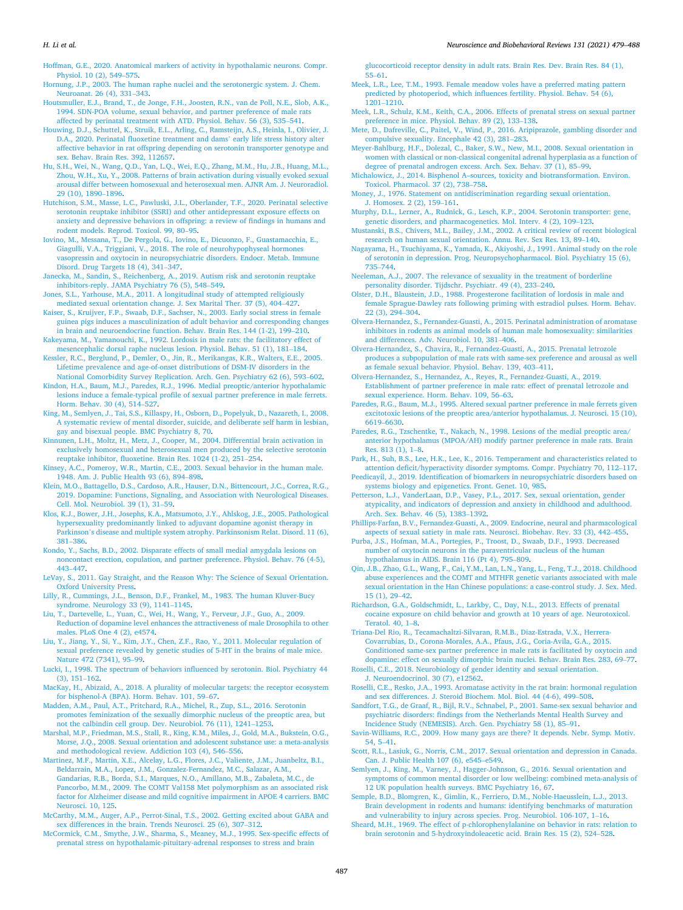<span id="page-8-0"></span>[Hoffman, G.E., 2020. Anatomical markers of activity in hypothalamic neurons. Compr.](http://refhub.elsevier.com/S0149-7634(21)00431-0/sbref0405)  [Physiol. 10 \(2\), 549](http://refhub.elsevier.com/S0149-7634(21)00431-0/sbref0405)–575.

[Hornung, J.P., 2003. The human raphe nuclei and the serotonergic system. J. Chem.](http://refhub.elsevier.com/S0149-7634(21)00431-0/sbref0410) [Neuroanat. 26 \(4\), 331](http://refhub.elsevier.com/S0149-7634(21)00431-0/sbref0410)–343.

- [Houtsmuller, E.J., Brand, T., de Jonge, F.H., Joosten, R.N., van de Poll, N.E., Slob, A.K.,](http://refhub.elsevier.com/S0149-7634(21)00431-0/sbref0415)  [1994. SDN-POA volume, sexual behavior, and partner preference of male rats](http://refhub.elsevier.com/S0149-7634(21)00431-0/sbref0415)  [affected by perinatal treatment with ATD. Physiol. Behav. 56 \(3\), 535](http://refhub.elsevier.com/S0149-7634(21)00431-0/sbref0415)–541.
- [Houwing, D.J., Schuttel, K., Struik, E.L., Arling, C., Ramsteijn, A.S., Heinla, I., Olivier, J.](http://refhub.elsevier.com/S0149-7634(21)00431-0/sbref0420)  [D.A., 2020. Perinatal fluoxetine treatment and dams](http://refhub.elsevier.com/S0149-7634(21)00431-0/sbref0420)' early life stress history alter [affective behavior in rat offspring depending on serotonin transporter genotype and](http://refhub.elsevier.com/S0149-7634(21)00431-0/sbref0420)  ex. Behav. Brain Res. 392, 112657.
- [Hu, S.H., Wei, N., Wang, Q.D., Yan, L.Q., Wei, E.Q., Zhang, M.M., Hu, J.B., Huang, M.L.,](http://refhub.elsevier.com/S0149-7634(21)00431-0/sbref0425)  [Zhou, W.H., Xu, Y., 2008. Patterns of brain activation during visually evoked sexual](http://refhub.elsevier.com/S0149-7634(21)00431-0/sbref0425)  [arousal differ between homosexual and heterosexual men. AJNR Am. J. Neuroradiol.](http://refhub.elsevier.com/S0149-7634(21)00431-0/sbref0425)  [29 \(10\), 1890](http://refhub.elsevier.com/S0149-7634(21)00431-0/sbref0425)–1896.
- [Hutchison, S.M., Masse, L.C., Pawluski, J.L., Oberlander, T.F., 2020. Perinatal selective](http://refhub.elsevier.com/S0149-7634(21)00431-0/sbref0430) [serotonin reuptake inhibitor \(SSRI\) and other antidepressant exposure effects on](http://refhub.elsevier.com/S0149-7634(21)00431-0/sbref0430)  [anxiety and depressive behaviors in offspring: a review of findings in humans and](http://refhub.elsevier.com/S0149-7634(21)00431-0/sbref0430) [rodent models. Reprod. Toxicol. 99, 80](http://refhub.elsevier.com/S0149-7634(21)00431-0/sbref0430)–95.
- [Iovino, M., Messana, T., De Pergola, G., Iovino, E., Dicuonzo, F., Guastamacchia, E.,](http://refhub.elsevier.com/S0149-7634(21)00431-0/sbref0435)  [Giagulli, V.A., Triggiani, V., 2018. The role of neurohypophyseal hormones](http://refhub.elsevier.com/S0149-7634(21)00431-0/sbref0435)  [vasopressin and oxytocin in neuropsychiatric disorders. Endocr. Metab. Immune](http://refhub.elsevier.com/S0149-7634(21)00431-0/sbref0435) [Disord. Drug Targets 18 \(4\), 341](http://refhub.elsevier.com/S0149-7634(21)00431-0/sbref0435)–347.
- [Janecka, M., Sandin, S., Reichenberg, A., 2019. Autism risk and serotonin reuptake](http://refhub.elsevier.com/S0149-7634(21)00431-0/sbref0440) [inhibitors-reply. JAMA Psychiatry 76 \(5\), 548](http://refhub.elsevier.com/S0149-7634(21)00431-0/sbref0440)–549.
- [Jones, S.L., Yarhouse, M.A., 2011. A longitudinal study of attempted religiously](http://refhub.elsevier.com/S0149-7634(21)00431-0/sbref0445)  [mediated sexual orientation change. J. Sex Marital Ther. 37 \(5\), 404](http://refhub.elsevier.com/S0149-7634(21)00431-0/sbref0445)–427.

[Kaiser, S., Kruijver, F.P., Swaab, D.F., Sachser, N., 2003. Early social stress in female](http://refhub.elsevier.com/S0149-7634(21)00431-0/sbref0450)  [guinea pigs induces a masculinization of adult behavior and corresponding changes](http://refhub.elsevier.com/S0149-7634(21)00431-0/sbref0450)  [in brain and neuroendocrine function. Behav. Brain Res. 144 \(1-2\), 199](http://refhub.elsevier.com/S0149-7634(21)00431-0/sbref0450)–210. [Kakeyama, M., Yamanouchi, K., 1992. Lordosis in male rats: the facilitatory effect of](http://refhub.elsevier.com/S0149-7634(21)00431-0/sbref0455) 

[mesencephalic dorsal raphe nucleus lesion. Physiol. Behav. 51 \(1\), 181](http://refhub.elsevier.com/S0149-7634(21)00431-0/sbref0455)–184.

[Kessler, R.C., Berglund, P., Demler, O., Jin, R., Merikangas, K.R., Walters, E.E., 2005.](http://refhub.elsevier.com/S0149-7634(21)00431-0/sbref0460) [Lifetime prevalence and age-of-onset distributions of DSM-IV disorders in the](http://refhub.elsevier.com/S0149-7634(21)00431-0/sbref0460) [National Comorbidity Survey Replication. Arch. Gen. Psychiatry 62 \(6\), 593](http://refhub.elsevier.com/S0149-7634(21)00431-0/sbref0460)–602.

[Kindon, H.A., Baum, M.J., Paredes, R.J., 1996. Medial preoptic/anterior hypothalamic](http://refhub.elsevier.com/S0149-7634(21)00431-0/sbref0465) [lesions induce a female-typical profile of sexual partner preference in male ferrets.](http://refhub.elsevier.com/S0149-7634(21)00431-0/sbref0465)  [Horm. Behav. 30 \(4\), 514](http://refhub.elsevier.com/S0149-7634(21)00431-0/sbref0465)–527.

[King, M., Semlyen, J., Tai, S.S., Killaspy, H., Osborn, D., Popelyuk, D., Nazareth, I., 2008.](http://refhub.elsevier.com/S0149-7634(21)00431-0/sbref0470)  [A systematic review of mental disorder, suicide, and deliberate self harm in lesbian,](http://refhub.elsevier.com/S0149-7634(21)00431-0/sbref0470)  [gay and bisexual people. BMC Psychiatry 8, 70](http://refhub.elsevier.com/S0149-7634(21)00431-0/sbref0470).

- [Kinnunen, L.H., Moltz, H., Metz, J., Cooper, M., 2004. Differential brain activation in](http://refhub.elsevier.com/S0149-7634(21)00431-0/sbref0475)  [exclusively homosexual and heterosexual men produced by the selective serotonin](http://refhub.elsevier.com/S0149-7634(21)00431-0/sbref0475)  [reuptake inhibitor, fluoxetine. Brain Res. 1024 \(1-2\), 251](http://refhub.elsevier.com/S0149-7634(21)00431-0/sbref0475)–254.
- [Kinsey, A.C., Pomeroy, W.R., Martin, C.E., 2003. Sexual behavior in the human male.](http://refhub.elsevier.com/S0149-7634(21)00431-0/sbref0480) [1948. Am. J. Public Health 93 \(6\), 894](http://refhub.elsevier.com/S0149-7634(21)00431-0/sbref0480)–898.
- [Klein, M.O., Battagello, D.S., Cardoso, A.R., Hauser, D.N., Bittencourt, J.C., Correa, R.G.,](http://refhub.elsevier.com/S0149-7634(21)00431-0/sbref0485)  [2019. Dopamine: Functions, Signaling, and Association with Neurological Diseases.](http://refhub.elsevier.com/S0149-7634(21)00431-0/sbref0485)  [Cell. Mol. Neurobiol. 39 \(1\), 31](http://refhub.elsevier.com/S0149-7634(21)00431-0/sbref0485)–59.
- [Klos, K.J., Bower, J.H., Josephs, K.A., Matsumoto, J.Y., Ahlskog, J.E., 2005. Pathological](http://refhub.elsevier.com/S0149-7634(21)00431-0/sbref0490)  [hypersexuality predominantly linked to adjuvant dopamine agonist therapy in](http://refhub.elsevier.com/S0149-7634(21)00431-0/sbref0490)  Parkinson'[s disease and multiple system atrophy. Parkinsonism Relat. Disord. 11 \(6\),](http://refhub.elsevier.com/S0149-7634(21)00431-0/sbref0490)  381–[386](http://refhub.elsevier.com/S0149-7634(21)00431-0/sbref0490).
- [Kondo, Y., Sachs, B.D., 2002. Disparate effects of small medial amygdala lesions on](http://refhub.elsevier.com/S0149-7634(21)00431-0/sbref0495) [noncontact erection, copulation, and partner preference. Physiol. Behav. 76 \(4-5\),](http://refhub.elsevier.com/S0149-7634(21)00431-0/sbref0495) 443–[447](http://refhub.elsevier.com/S0149-7634(21)00431-0/sbref0495).
- [LeVay, S., 2011. Gay Straight, and the Reason Why: The Science of Sexual Orientation.](http://refhub.elsevier.com/S0149-7634(21)00431-0/sbref0500)  [Oxford University Press.](http://refhub.elsevier.com/S0149-7634(21)00431-0/sbref0500)
- [Lilly, R., Cummings, J.L., Benson, D.F., Frankel, M., 1983. The human Kluver-Bucy](http://refhub.elsevier.com/S0149-7634(21)00431-0/sbref0505)  [syndrome. Neurology 33 \(9\), 1141](http://refhub.elsevier.com/S0149-7634(21)00431-0/sbref0505)–1145.
- [Liu, T., Dartevelle, L., Yuan, C., Wei, H., Wang, Y., Ferveur, J.F., Guo, A., 2009.](http://refhub.elsevier.com/S0149-7634(21)00431-0/sbref0510) [Reduction of dopamine level enhances the attractiveness of male Drosophila to other](http://refhub.elsevier.com/S0149-7634(21)00431-0/sbref0510)  [males. PLoS One 4 \(2\), e4574.](http://refhub.elsevier.com/S0149-7634(21)00431-0/sbref0510)
- [Liu, Y., Jiang, Y., Si, Y., Kim, J.Y., Chen, Z.F., Rao, Y., 2011. Molecular regulation of](http://refhub.elsevier.com/S0149-7634(21)00431-0/sbref0515) [sexual preference revealed by genetic studies of 5-HT in the brains of male mice.](http://refhub.elsevier.com/S0149-7634(21)00431-0/sbref0515) [Nature 472 \(7341\), 95](http://refhub.elsevier.com/S0149-7634(21)00431-0/sbref0515)–99.
- [Lucki, I., 1998. The spectrum of behaviors influenced by serotonin. Biol. Psychiatry 44](http://refhub.elsevier.com/S0149-7634(21)00431-0/sbref0520)  [\(3\), 151](http://refhub.elsevier.com/S0149-7634(21)00431-0/sbref0520)–162.
- [MacKay, H., Abizaid, A., 2018. A plurality of molecular targets: the receptor ecosystem](http://refhub.elsevier.com/S0149-7634(21)00431-0/sbref0525)  [for bisphenol-A \(BPA\). Horm. Behav. 101, 59](http://refhub.elsevier.com/S0149-7634(21)00431-0/sbref0525)–67.
- [Madden, A.M., Paul, A.T., Pritchard, R.A., Michel, R., Zup, S.L., 2016. Serotonin](http://refhub.elsevier.com/S0149-7634(21)00431-0/sbref0530) [promotes feminization of the sexually dimorphic nucleus of the preoptic area, but](http://refhub.elsevier.com/S0149-7634(21)00431-0/sbref0530)  [not the calbindin cell group. Dev. Neurobiol. 76 \(11\), 1241](http://refhub.elsevier.com/S0149-7634(21)00431-0/sbref0530)–1253.

[Marshal, M.P., Friedman, M.S., Stall, R., King, K.M., Miles, J., Gold, M.A., Bukstein, O.G.,](http://refhub.elsevier.com/S0149-7634(21)00431-0/sbref0535)  [Morse, J.Q., 2008. Sexual orientation and adolescent substance use: a meta-analysis](http://refhub.elsevier.com/S0149-7634(21)00431-0/sbref0535)  [and methodological review. Addiction 103 \(4\), 546](http://refhub.elsevier.com/S0149-7634(21)00431-0/sbref0535)–556.

- [Martinez, M.F., Martin, X.E., Alcelay, L.G., Flores, J.C., Valiente, J.M., Juanbeltz, B.I.,](http://refhub.elsevier.com/S0149-7634(21)00431-0/sbref0540)  [Beldarrain, M.A., Lopez, J.M., Gonzalez-Fernandez, M.C., Salazar, A.M.,](http://refhub.elsevier.com/S0149-7634(21)00431-0/sbref0540) [Gandarias, R.B., Borda, S.I., Marques, N.O., Amillano, M.B., Zabaleta, M.C., de](http://refhub.elsevier.com/S0149-7634(21)00431-0/sbref0540)  [Pancorbo, M.M., 2009. The COMT Val158 Met polymorphism as an associated risk](http://refhub.elsevier.com/S0149-7634(21)00431-0/sbref0540) [factor for Alzheimer disease and mild cognitive impairment in APOE 4 carriers. BMC](http://refhub.elsevier.com/S0149-7634(21)00431-0/sbref0540)  [Neurosci. 10, 125](http://refhub.elsevier.com/S0149-7634(21)00431-0/sbref0540).
- [McCarthy, M.M., Auger, A.P., Perrot-Sinal, T.S., 2002. Getting excited about GABA and](http://refhub.elsevier.com/S0149-7634(21)00431-0/sbref0545)  [sex differences in the brain. Trends Neurosci. 25 \(6\), 307](http://refhub.elsevier.com/S0149-7634(21)00431-0/sbref0545)–312.
- [McCormick, C.M., Smythe, J.W., Sharma, S., Meaney, M.J., 1995. Sex-specific effects of](http://refhub.elsevier.com/S0149-7634(21)00431-0/sbref0550)  [prenatal stress on hypothalamic-pituitary-adrenal responses to stress and brain](http://refhub.elsevier.com/S0149-7634(21)00431-0/sbref0550)

[glucocorticoid receptor density in adult rats. Brain Res. Dev. Brain Res. 84 \(1\),](http://refhub.elsevier.com/S0149-7634(21)00431-0/sbref0550)  55–[61](http://refhub.elsevier.com/S0149-7634(21)00431-0/sbref0550).

- [Meek, L.R., Lee, T.M., 1993. Female meadow voles have a preferred mating pattern](http://refhub.elsevier.com/S0149-7634(21)00431-0/sbref0555)  [predicted by photoperiod, which influences fertility. Physiol. Behav. 54 \(6\),](http://refhub.elsevier.com/S0149-7634(21)00431-0/sbref0555)  [1201](http://refhub.elsevier.com/S0149-7634(21)00431-0/sbref0555)–1210.
- [Meek, L.R., Schulz, K.M., Keith, C.A., 2006. Effects of prenatal stress on sexual partner](http://refhub.elsevier.com/S0149-7634(21)00431-0/sbref0560) [preference in mice. Physiol. Behav. 89 \(2\), 133](http://refhub.elsevier.com/S0149-7634(21)00431-0/sbref0560)–138.
- [Mete, D., Dafreville, C., Paitel, V., Wind, P., 2016. Aripiprazole, gambling disorder and](http://refhub.elsevier.com/S0149-7634(21)00431-0/sbref0565)  [compulsive sexuality. Encephale 42 \(3\), 281](http://refhub.elsevier.com/S0149-7634(21)00431-0/sbref0565)–283.
- [Meyer-Bahlburg, H.F., Dolezal, C., Baker, S.W., New, M.I., 2008. Sexual orientation in](http://refhub.elsevier.com/S0149-7634(21)00431-0/sbref0570)  [women with classical or non-classical congenital adrenal hyperplasia as a function of](http://refhub.elsevier.com/S0149-7634(21)00431-0/sbref0570)  [degree of prenatal androgen excess. Arch. Sex. Behav. 37 \(1\), 85](http://refhub.elsevier.com/S0149-7634(21)00431-0/sbref0570)–99.
- [Michalowicz, J., 2014. Bisphenol A–sources, toxicity and biotransformation. Environ.](http://refhub.elsevier.com/S0149-7634(21)00431-0/sbref0575)  [Toxicol. Pharmacol. 37 \(2\), 738](http://refhub.elsevier.com/S0149-7634(21)00431-0/sbref0575)–758.
- [Money, J., 1976. Statement on antidiscrimination regarding sexual orientation.](http://refhub.elsevier.com/S0149-7634(21)00431-0/sbref0580)  [J. Homosex. 2 \(2\), 159](http://refhub.elsevier.com/S0149-7634(21)00431-0/sbref0580)–161.
- [Murphy, D.L., Lerner, A., Rudnick, G., Lesch, K.P., 2004. Serotonin transporter: gene,](http://refhub.elsevier.com/S0149-7634(21)00431-0/sbref0585) [genetic disorders, and pharmacogenetics. Mol. Interv. 4 \(2\), 109](http://refhub.elsevier.com/S0149-7634(21)00431-0/sbref0585)–123.
- [Mustanski, B.S., Chivers, M.L., Bailey, J.M., 2002. A critical review of recent biological](http://refhub.elsevier.com/S0149-7634(21)00431-0/sbref0590) [research on human sexual orientation. Annu. Rev. Sex Res. 13, 89](http://refhub.elsevier.com/S0149-7634(21)00431-0/sbref0590)–140.
- [Nagayama, H., Tsuchiyama, K., Yamada, K., Akiyoshi, J., 1991. Animal study on the role](http://refhub.elsevier.com/S0149-7634(21)00431-0/sbref0595)  [of serotonin in depression. Prog. Neuropsychopharmacol. Biol. Psychiatry 15 \(6\),](http://refhub.elsevier.com/S0149-7634(21)00431-0/sbref0595) 735–[744](http://refhub.elsevier.com/S0149-7634(21)00431-0/sbref0595).
- [Neeleman, A.J., 2007. The relevance of sexuality in the treatment of borderline](http://refhub.elsevier.com/S0149-7634(21)00431-0/sbref0600)  [personality disorder. Tijdschr. Psychiatr. 49 \(4\), 233](http://refhub.elsevier.com/S0149-7634(21)00431-0/sbref0600)–240.
- [Olster, D.H., Blaustein, J.D., 1988. Progesterone facilitation of lordosis in male and](http://refhub.elsevier.com/S0149-7634(21)00431-0/sbref0605) [female Sprague-Dawley rats following priming with estradiol pulses. Horm. Behav.](http://refhub.elsevier.com/S0149-7634(21)00431-0/sbref0605) [22 \(3\), 294](http://refhub.elsevier.com/S0149-7634(21)00431-0/sbref0605)–304.
- [Olvera-Hernandez, S., Fernandez-Guasti, A., 2015. Perinatal administration of aromatase](http://refhub.elsevier.com/S0149-7634(21)00431-0/sbref0610)  [inhibitors in rodents as animal models of human male homosexuality: similarities](http://refhub.elsevier.com/S0149-7634(21)00431-0/sbref0610)  [and differences. Adv. Neurobiol. 10, 381](http://refhub.elsevier.com/S0149-7634(21)00431-0/sbref0610)–406.
- [Olvera-Hernandez, S., Chavira, R., Fernandez-Guasti, A., 2015. Prenatal letrozole](http://refhub.elsevier.com/S0149-7634(21)00431-0/sbref0615) [produces a subpopulation of male rats with same-sex preference and arousal as well](http://refhub.elsevier.com/S0149-7634(21)00431-0/sbref0615)  [as female sexual behavior. Physiol. Behav. 139, 403](http://refhub.elsevier.com/S0149-7634(21)00431-0/sbref0615)–411.
- [Olvera-Hernandez, S., Hernandez, A., Reyes, R., Fernandez-Guasti, A., 2019.](http://refhub.elsevier.com/S0149-7634(21)00431-0/sbref0620)  [Establishment of partner preference in male rats: effect of prenatal letrozole and](http://refhub.elsevier.com/S0149-7634(21)00431-0/sbref0620) [sexual experience. Horm. Behav. 109, 56](http://refhub.elsevier.com/S0149-7634(21)00431-0/sbref0620)–63.
- [Paredes, R.G., Baum, M.J., 1995. Altered sexual partner preference in male ferrets given](http://refhub.elsevier.com/S0149-7634(21)00431-0/sbref0625)  [excitotoxic lesions of the preoptic area/anterior hypothalamus. J. Neurosci. 15 \(10\),](http://refhub.elsevier.com/S0149-7634(21)00431-0/sbref0625)  [6619](http://refhub.elsevier.com/S0149-7634(21)00431-0/sbref0625)–6630.
- [Paredes, R.G., Tzschentke, T., Nakach, N., 1998. Lesions of the medial preoptic area/](http://refhub.elsevier.com/S0149-7634(21)00431-0/sbref0630) [anterior hypothalamus \(MPOA/AH\) modify partner preference in male rats. Brain](http://refhub.elsevier.com/S0149-7634(21)00431-0/sbref0630) [Res. 813 \(1\), 1](http://refhub.elsevier.com/S0149-7634(21)00431-0/sbref0630)–8.
- [Park, H., Suh, B.S., Lee, H.K., Lee, K., 2016. Temperament and characteristics related to](http://refhub.elsevier.com/S0149-7634(21)00431-0/sbref0635)  [attention deficit/hyperactivity disorder symptoms. Compr. Psychiatry 70, 112](http://refhub.elsevier.com/S0149-7634(21)00431-0/sbref0635)–117. [Peedicayil, J., 2019. Identification of biomarkers in neuropsychiatric disorders based on](http://refhub.elsevier.com/S0149-7634(21)00431-0/sbref0640)
- [systems biology and epigenetics. Front. Genet. 10, 985.](http://refhub.elsevier.com/S0149-7634(21)00431-0/sbref0640)
- [Petterson, L.J., VanderLaan, D.P., Vasey, P.L., 2017. Sex, sexual orientation, gender](http://refhub.elsevier.com/S0149-7634(21)00431-0/sbref0645) [atypicality, and indicators of depression and anxiety in childhood and adulthood.](http://refhub.elsevier.com/S0149-7634(21)00431-0/sbref0645) [Arch. Sex. Behav. 46 \(5\), 1383](http://refhub.elsevier.com/S0149-7634(21)00431-0/sbref0645)–1392.
- [Phillips-Farfan, B.V., Fernandez-Guasti, A., 2009. Endocrine, neural and pharmacological](http://refhub.elsevier.com/S0149-7634(21)00431-0/sbref0650)  [aspects of sexual satiety in male rats. Neurosci. Biobehav. Rev. 33 \(3\), 442](http://refhub.elsevier.com/S0149-7634(21)00431-0/sbref0650)–455.
- [Purba, J.S., Hofman, M.A., Portegies, P., Troost, D., Swaab, D.F., 1993. Decreased](http://refhub.elsevier.com/S0149-7634(21)00431-0/sbref0655)  [number of oxytocin neurons in the paraventricular nucleus of the human](http://refhub.elsevier.com/S0149-7634(21)00431-0/sbref0655) [hypothalamus in AIDS. Brain 116 \(Pt 4\), 795](http://refhub.elsevier.com/S0149-7634(21)00431-0/sbref0655)–809.
- [Qin, J.B., Zhao, G.L., Wang, F., Cai, Y.M., Lan, L.N., Yang, L., Feng, T.J., 2018. Childhood](http://refhub.elsevier.com/S0149-7634(21)00431-0/sbref0660)  [abuse experiences and the COMT and MTHFR genetic variants associated with male](http://refhub.elsevier.com/S0149-7634(21)00431-0/sbref0660)  [sexual orientation in the Han Chinese populations: a case-control study. J. Sex. Med.](http://refhub.elsevier.com/S0149-7634(21)00431-0/sbref0660)  [15 \(1\), 29](http://refhub.elsevier.com/S0149-7634(21)00431-0/sbref0660)–42.
- [Richardson, G.A., Goldschmidt, L., Larkby, C., Day, N.L., 2013. Effects of prenatal](http://refhub.elsevier.com/S0149-7634(21)00431-0/sbref0665)  [cocaine exposure on child behavior and growth at 10 years of age. Neurotoxicol.](http://refhub.elsevier.com/S0149-7634(21)00431-0/sbref0665)  [Teratol. 40, 1](http://refhub.elsevier.com/S0149-7634(21)00431-0/sbref0665)–8.
- [Triana-Del Rio, R., Tecamachaltzi-Silvaran, R.M.B., Diaz-Estrada, V.X., Herrera-](http://refhub.elsevier.com/S0149-7634(21)00431-0/sbref0670)[Covarrubias, D., Corona-Morales, A.A., Pfaus, J.G., Coria-Avila, G.A., 2015.](http://refhub.elsevier.com/S0149-7634(21)00431-0/sbref0670) [Conditioned same-sex partner preference in male rats is facilitated by oxytocin and](http://refhub.elsevier.com/S0149-7634(21)00431-0/sbref0670)  [dopamine: effect on sexually dimorphic brain nuclei. Behav. Brain Res. 283, 69](http://refhub.elsevier.com/S0149-7634(21)00431-0/sbref0670)–77.
- [Roselli, C.E., 2018. Neurobiology of gender identity and sexual orientation.](http://refhub.elsevier.com/S0149-7634(21)00431-0/sbref0675)  [J. Neuroendocrinol. 30 \(7\), e12562.](http://refhub.elsevier.com/S0149-7634(21)00431-0/sbref0675)
- [Roselli, C.E., Resko, J.A., 1993. Aromatase activity in the rat brain: hormonal regulation](http://refhub.elsevier.com/S0149-7634(21)00431-0/sbref0680)  [and sex differences. J. Steroid Biochem. Mol. Biol. 44 \(4-6\), 499](http://refhub.elsevier.com/S0149-7634(21)00431-0/sbref0680)–508.
- [Sandfort, T.G., de Graaf, R., Bijl, R.V., Schnabel, P., 2001. Same-sex sexual behavior and](http://refhub.elsevier.com/S0149-7634(21)00431-0/sbref0685)  [psychiatric disorders: findings from the Netherlands Mental Health Survey and](http://refhub.elsevier.com/S0149-7634(21)00431-0/sbref0685) [Incidence Study \(NEMESIS\). Arch. Gen. Psychiatry 58 \(1\), 85](http://refhub.elsevier.com/S0149-7634(21)00431-0/sbref0685)–91.
- [Savin-Williams, R.C., 2009. How many gays are there? It depends. Nebr. Symp. Motiv.](http://refhub.elsevier.com/S0149-7634(21)00431-0/sbref0690) [54, 5](http://refhub.elsevier.com/S0149-7634(21)00431-0/sbref0690)–41.
- [Scott, R.L., Lasiuk, G., Norris, C.M., 2017. Sexual orientation and depression in Canada.](http://refhub.elsevier.com/S0149-7634(21)00431-0/sbref0695)  [Can. J. Public Health 107 \(6\), e545](http://refhub.elsevier.com/S0149-7634(21)00431-0/sbref0695)–e549.
- [Semlyen, J., King, M., Varney, J., Hagger-Johnson, G., 2016. Sexual orientation and](http://refhub.elsevier.com/S0149-7634(21)00431-0/sbref0700)  [symptoms of common mental disorder or low wellbeing: combined meta-analysis of](http://refhub.elsevier.com/S0149-7634(21)00431-0/sbref0700)  [12 UK population health surveys. BMC Psychiatry 16, 67.](http://refhub.elsevier.com/S0149-7634(21)00431-0/sbref0700)
- [Semple, B.D., Blomgren, K., Gimlin, K., Ferriero, D.M., Noble-Haeusslein, L.J., 2013.](http://refhub.elsevier.com/S0149-7634(21)00431-0/sbref0705)  [Brain development in rodents and humans: identifying benchmarks of maturation](http://refhub.elsevier.com/S0149-7634(21)00431-0/sbref0705)  [and vulnerability to injury across species. Prog. Neurobiol. 106-107, 1](http://refhub.elsevier.com/S0149-7634(21)00431-0/sbref0705)–16.
- [Sheard, M.H., 1969. The effect of p-chlorophenylalanine on behavior in rats: relation to](http://refhub.elsevier.com/S0149-7634(21)00431-0/sbref0710)  [brain serotonin and 5-hydroxyindoleacetic acid. Brain Res. 15 \(2\), 524](http://refhub.elsevier.com/S0149-7634(21)00431-0/sbref0710)–528.